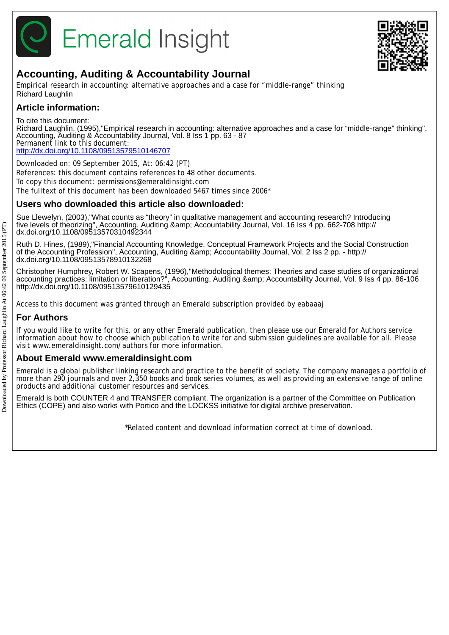



## **Accounting, Auditing & Accountability Journal**

Empirical research in accounting: alternative approaches and a case for "middle-range" thinking Richard Laughlin

## **Article information:**

To cite this document: Richard Laughlin, (1995),"Empirical research in accounting: alternative approaches and a case for "middle-range" thinking", Accounting, Auditing & Accountability Journal, Vol. 8 Iss 1 pp. 63 - 87 Permanent link to this document: <http://dx.doi.org/10.1108/09513579510146707>

Downloaded on: 09 September 2015, At: 06:42 (PT) References: this document contains references to 48 other documents. To copy this document: permissions@emeraldinsight.com The fulltext of this document has been downloaded 5467 times since 2006\*

## **Users who downloaded this article also downloaded:**

Sue Llewelyn, (2003),"What counts as "theory" in qualitative management and accounting research? Introducing five levels of theorizing", Accounting, Auditing & Accountability Journal, Vol. 16 Iss 4 pp. 662-708 http:// dx.doi.org/10.1108/09513570310492344

Ruth D. Hines, (1989),"Financial Accounting Knowledge, Conceptual Framework Projects and the Social Construction of the Accounting Profession", Accounting, Auditing & amp; Accountability Journal, Vol. 2 Iss 2 pp. - http:// dx.doi.org/10.1108/09513578910132268

Christopher Humphrey, Robert W. Scapens, (1996),"Methodological themes: Theories and case studies of organizational accounting practices: limitation or liberation?", Accounting, Auditing & Accountability Journal, Vol. 9 Iss 4 pp. 86-106 http://dx.doi.org/10.1108/09513579610129435

Access to this document was granted through an Emerald subscription provided by eabaaaj

## **For Authors**

If you would like to write for this, or any other Emerald publication, then please use our Emerald for Authors service information about how to choose which publication to write for and submission guidelines are available for all. Please visit www.emeraldinsight.com/authors for more information.

### **About Emerald www.emeraldinsight.com**

Emerald is a global publisher linking research and practice to the benefit of society. The company manages a portfolio of more than 290 journals and over 2,350 books and book series volumes, as well as providing an extensive range of online products and additional customer resources and services.

Emerald is both COUNTER 4 and TRANSFER compliant. The organization is a partner of the Committee on Publication Ethics (COPE) and also works with Portico and the LOCKSS initiative for digital archive preservation.

\*Related content and download information correct at time of download.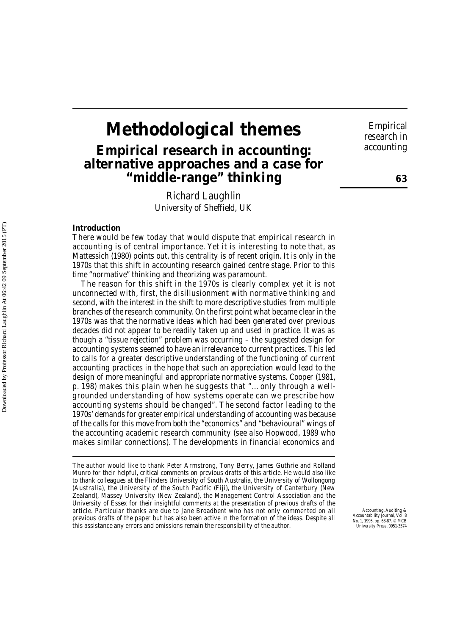# **Methodological themes Empirical research in accounting: alternative approaches and a case for "middle-range" thinking**

research in accounting

Empirical

**63**

Richard Laughlin *University of Sheffield, UK*

#### **Introduction**

There would be few today that would dispute that empirical research in accounting is of central importance. Yet it is interesting to note that, as Mattessich (1980) points out, this centrality is of recent origin. It is only in the 1970s that this shift in accounting research gained centre stage. Prior to this time "normative" thinking and theorizing was paramount.

The reason for this shift in the 1970s is clearly complex yet it is not unconnected with, first, the disillusionment with normative thinking and second, with the interest in the shift to more descriptive studies from multiple branches of the research community. On the first point what became clear in the 1970s was that the normative ideas which had been generated over previous decades did not appear to be readily taken up and used in practice. It was as though a "tissue rejection" problem was occurring – the suggested design for accounting systems seemed to have an irrelevance to current practices. This led to calls for a greater descriptive understanding of the functioning of current accounting practices in the hope that such an appreciation would lead to the design of more meaningful and appropriate normative systems. Cooper (1981, p. 198) makes this plain when he suggests that "…only through a wellgrounded understanding of how systems operate can we prescribe how accounting systems should be changed". The second factor leading to the 1970s' demands for greater empirical understanding of accounting was because of the calls for this move from *both* the "economics" and "behavioural" wings of the accounting academic research community (see also Hopwood, 1989 who makes similar connections). The developments in financial economics and

Accounting, Auditing & Accountability Journal, Vol. 8 No. 1, 1995, pp. 63-87. © MCB University Press, 0951-3574

The author would like to thank Peter Armstrong, Tony Berry, James Guthrie and Rolland Munro for their helpful, critical comments on previous drafts of this article. He would also like to thank colleagues at the Flinders University of South Australia, the University of Wollongong (Australia), the University of the South Pacific (Fiji), the University of Canterbury (New Zealand), Massey University (New Zealand), the Management Control Association and the University of Essex for their insightful comments at the presentation of previous drafts of the article. Particular thanks are due to Jane Broadbent who has not only commented on all previous drafts of the paper but has also been active in the formation of the ideas. Despite all this assistance any errors and omissions remain the responsibility of the author.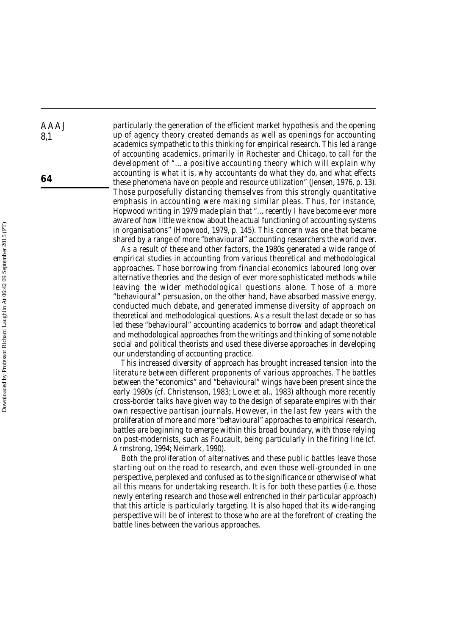particularly the generation of the efficient market hypothesis and the opening up of agency theory created demands as well as openings for accounting academics sympathetic to this thinking for empirical research. This led a range of accounting academics, primarily in Rochester and Chicago, to call for the development of "…a positive accounting theory which will explain why accounting is what it is, why accountants do what they do, and what effects these phenomena have on people and resource utilization" (Jensen, 1976, p. 13). Those purposefully distancing themselves from this strongly quantitative emphasis in accounting were making similar pleas. Thus, for instance, Hopwood writing in 1979 made plain that "…recently I have become ever more aware of how little we know about the actual functioning of accounting systems in organisations" (Hopwood, 1979, p. 145). This concern was one that became shared by a range of more "behavioural" accounting researchers the world over.

As a result of these and other factors, the 1980s generated a wide range of empirical studies in accounting from various theoretical and methodological approaches. Those borrowing from financial economics laboured long over alternative theories and the design of ever more sophisticated methods while leaving the wider methodological questions alone. Those of a more "behavioural" persuasion, on the other hand, have absorbed massive energy, conducted much debate, and generated immense diversity of approach on theoretical and methodological questions. As a result the last decade or so has led these "behavioural" accounting academics to borrow and adapt theoretical and methodological approaches from the writings and thinking of some notable social and political theorists and used these diverse approaches in developing our understanding of accounting practice.

This increased diversity of approach has brought increased tension into the literature between different proponents of various approaches. The battles between the "economics" and "behavioural" wings have been present since the early 1980s (cf. Christenson, 1983; Lowe *et al.,* 1983) although more recently cross-border talks have given way to the design of separate empires with their own respective partisan journals. However, in the last few years with the proliferation of more and more "behavioural" approaches to empirical research, battles are beginning to emerge within this broad boundary, with those relying on post-modernists, such as Foucault, being particularly in the firing line (cf. Armstrong, 1994; Neimark, 1990).

Both the proliferation of alternatives and these public battles leave those starting out on the road to research, and even those well-grounded in one perspective, perplexed and confused as to the significance or otherwise of what all this means for undertaking research. It is for both these parties (i.e. those newly entering research and those well entrenched in their particular approach) that this article is particularly targeting. It is also hoped that its wide-ranging perspective will be of interest to those who are at the forefront of creating the battle lines between the various approaches.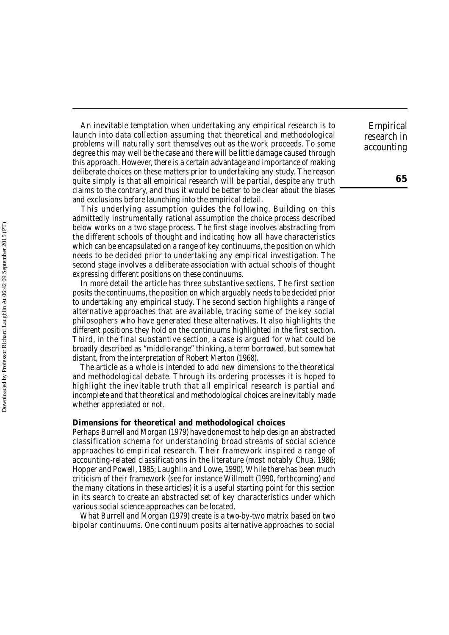An inevitable temptation when undertaking any empirical research is to launch into data collection assuming that theoretical and methodological problems will naturally sort themselves out as the work proceeds. To some degree this may well be the case and there will be little damage caused through this approach. However, there is a certain advantage and importance of making deliberate choices on these matters *prior* to undertaking any study. The reason quite simply is that *all* empirical research will be partial, despite any truth claims to the contrary, and thus it would be better to be clear about the biases and exclusions before launching into the empirical detail.

This underlying assumption guides the following. Building on this admittedly instrumentally rational assumption the choice process described below works on a two stage process. The first stage involves abstracting from the different schools of thought and indicating how all have characteristics which can be encapsulated on a range of key continuums, the position on which needs to be decided prior to undertaking any empirical investigation. The second stage involves a deliberate association with actual schools of thought expressing different positions on these continuums.

In more detail the article has three substantive sections. The first section posits the continuums, the position on which arguably needs to be decided prior to undertaking any empirical study. The second section highlights a range of alternative approaches that are available, tracing some of the key social philosophers who have generated these alternatives. It also highlights the different positions they hold on the continuums highlighted in the first section. Third, in the final substantive section, a case is argued for what could be broadly described as "middle-range" thinking, a term borrowed, but somewhat distant, from the interpretation of Robert Merton (1968).

The article as a whole is intended to add new dimensions to the theoretical and methodological debate. Through its ordering processes it is hoped to highlight the inevitable truth that all empirical research is partial and incomplete and that theoretical and methodological choices are inevitably made whether appreciated or not.

#### **Dimensions for theoretical and methodological choices**

Perhaps Burrell and Morgan (1979) have done most to help design an abstracted classification schema for understanding broad streams of social science approaches to empirical research. Their framework inspired a range of accounting-related classifications in the literature (most notably Chua, 1986; Hopper and Powell, 1985; Laughlin and Lowe, 1990). While there has been much criticism of their framework (see for instance Willmott (1990, forthcoming) and the many citations in these articles) it is a useful starting point for this section in its search to create an abstracted set of key characteristics under which various social science approaches can be located.

What Burrell and Morgan (1979) create is a two-by-two matrix based on two bipolar continuums. One continuum posits alternative approaches to social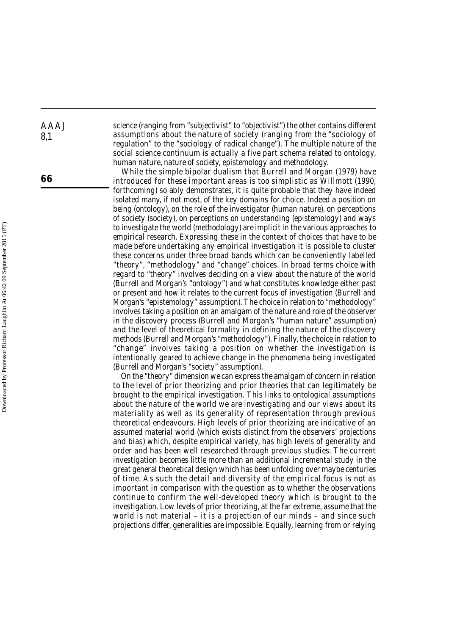science (ranging from "subjectivist" to "objectivist") the other contains different assumptions about the nature of society (ranging from the "sociology of regulation" to the "sociology of radical change"). The multiple nature of the social science continuum is actually a five part schema related to ontology, human nature, nature of society, epistemology and methodology.

While the simple bipolar dualism that Burrell and Morgan (1979) have introduced for these important areas is too simplistic as Willmott (1990, forthcoming) so ably demonstrates, it is quite probable that they have indeed isolated many, if not most, of the key domains for choice. Indeed a position on being (ontology), on the role of the investigator (human nature), on perceptions of society (society), on perceptions on understanding (epistemology) and ways to investigate the world (methodology) are implicit in the various approaches to empirical research. Expressing these in the context of choices that have to be made before undertaking any empirical investigation it is possible to cluster these concerns under three broad bands which can be conveniently labelled "theory", "methodology" and "change" choices. In broad terms choice with regard to "theory" involves deciding on a view about the nature of the world (Burrell and Morgan's "ontology") and what constitutes knowledge either past or present and how it relates to the current focus of investigation (Burrell and Morgan's "epistemology" assumption). The choice in relation to "methodology" involves taking a position on an amalgam of the nature and role of the observer in the discovery process (Burrell and Morgan's "human nature" assumption) and the level of theoretical formality in defining the nature of the discovery methods (Burrell and Morgan's "methodology"). Finally, the choice in relation to "change" involves taking a position on whether the investigation is intentionally geared to achieve change in the phenomena being investigated (Burrell and Morgan's "society" assumption).

On the "theory" dimension we can express the amalgam of concern in relation to the level of prior theorizing and prior theories that can legitimately be brought to the empirical investigation. This links to ontological assumptions about the nature of the world we are investigating and our views about its materiality as well as its generality of representation through previous theoretical endeavours. High levels of prior theorizing are indicative of an assumed material world (which exists distinct from the observers' projections and bias) which, despite empirical variety, has high levels of generality and order and has been well researched through previous studies. The current investigation becomes little more than an additional incremental study in the great general theoretical design which has been unfolding over maybe centuries of time. As such the detail and diversity of the empirical focus is not as important in comparison with the question as to whether the observations continue to confirm the well-developed theory which is brought to the investigation. Low levels of prior theorizing, at the far extreme, assume that the world is not material – it is a projection of our minds – and since such projections differ, generalities are impossible. Equally, learning from or relying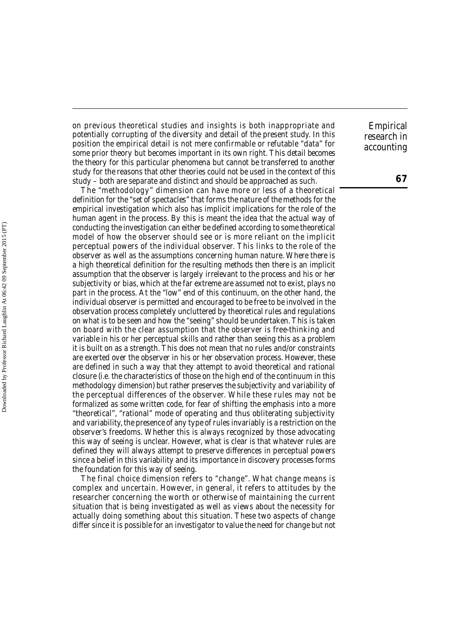on previous theoretical studies and insights is both inappropriate and potentially corrupting of the diversity and detail of the present study. In this position the empirical detail is not mere confirmable or refutable "data" for some prior theory but becomes important in its own right. This detail *becomes* the theory for this particular phenomena but cannot be transferred to another study for the reasons that other theories could not be used in the context of this study – both are separate and distinct and should be approached as such.

The "methodology" dimension can have more or less of a theoretical definition for the "set of spectacles" that forms the nature of the methods for the empirical investigation which also has implicit implications for the role of the human agent in the process. By this is meant the idea that the actual way of conducting the investigation can either be defined according to some theoretical model of how the observer should see or is more reliant on the implicit perceptual powers of the individual observer. This links to the role of the observer as well as the assumptions concerning human nature. Where there is a high theoretical definition for the resulting methods then there is an implicit assumption that the observer is largely irrelevant to the process and his or her subjectivity or bias, which at the far extreme are assumed not to exist, plays no part in the process. At the "low" end of this continuum, on the other hand, the individual observer is permitted and encouraged to be free to be involved in the observation process completely uncluttered by theoretical rules and regulations on what is to be seen and how the "seeing" should be undertaken. This is taken on board with the clear assumption that the observer is free-thinking and variable in his or her perceptual skills and rather than seeing this as a problem it is built on as a strength. This does not mean that no rules and/or constraints are exerted over the observer in his or her observation process. However, these are defined in such a way that they attempt to avoid theoretical and rational closure (i.e. the characteristics of those on the high end of the continuum in this methodology dimension) but rather preserves the subjectivity and variability of the perceptual differences of the observer. While these rules may not be formalized as some written code, for fear of shifting the emphasis into a more "theoretical", "rational" mode of operating and thus obliterating subjectivity and variability, the presence of any type of rules invariably is a restriction on the observer's freedoms. Whether this is always recognized by those advocating this way of seeing is unclear. However, what is clear is that whatever rules are defined they will always attempt to preserve differences in perceptual powers since a belief in this variability and its importance in discovery processes forms the foundation for this way of seeing.

The final choice dimension refers to "change". What change means is complex and uncertain. However, in general, it refers to attitudes by the researcher concerning the worth or otherwise of maintaining the current situation that is being investigated as well as views about the necessity for actually doing something about this situation. These two aspects of change differ since it is possible for an investigator to value the need for change but not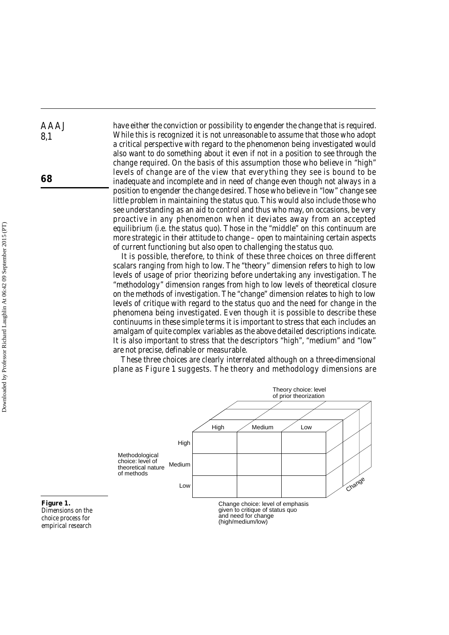AAAJ 8,1

**68**

have either the conviction or possibility to engender the change that is required. While this is recognized it is not unreasonable to assume that those who adopt a critical perspective with regard to the phenomenon being investigated would also *want* to do something about it even if not in a position to see through the change required. On the basis of this assumption those who believe in "high" levels of change are of the view that everything they see is bound to be inadequate and incomplete and in need of change even though not always in a position to engender the change desired. Those who believe in "low" change see little problem in maintaining the status quo. This would also include those who see understanding as an aid to control and thus who may, on occasions, be very proactive in any phenomenon when it deviates away from an accepted equilibrium (i.e. the status quo). Those in the "middle" on this continuum are more strategic in their attitude to change – open to maintaining certain aspects of current functioning but also open to challenging the status quo.

It is possible, therefore, to think of these three choices on three different scalars ranging from high to low. The "theory" dimension refers to high to low levels of usage of prior theorizing before undertaking any investigation. The "methodology" dimension ranges from high to low levels of theoretical closure on the methods of investigation. The "change" dimension relates to high to low levels of critique with regard to the status quo and the need for change in the phenomena being investigated. Even though it is possible to describe these continuums in these simple terms it is important to stress that each includes an amalgam of quite complex variables as the above detailed descriptions indicate. It is also important to stress that the descriptors "high", "medium" and "low" are not precise, definable or measurable.

These three choices are clearly interrelated although on a three-dimensional plane as Figure 1 suggests. The theory and methodology dimensions are



**Figure 1.** Dimensions on the choice process for empirical research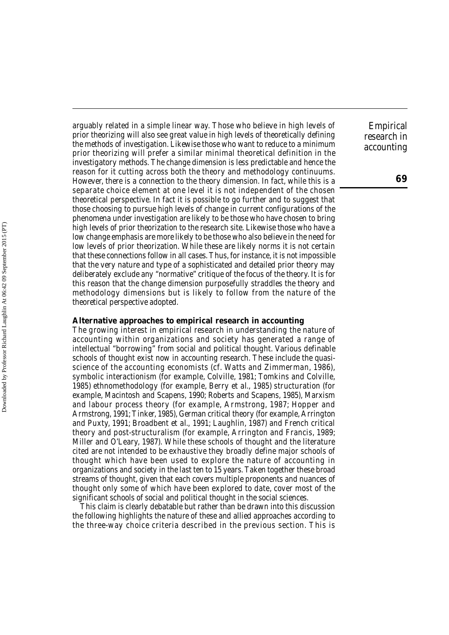arguably related in a simple linear way. Those who believe in high levels of prior theorizing will also see great value in high levels of theoretically defining the methods of investigation. Likewise those who want to reduce to a minimum prior theorizing will prefer a similar minimal theoretical definition in the investigatory methods. The change dimension is less predictable and hence the reason for it cutting across both the theory and methodology continuums. However, there is a connection to the theory dimension. In fact, while this is a separate choice element at one level it is not independent of the chosen theoretical perspective. In fact it is possible to go further and to suggest that those choosing to pursue high levels of change in current configurations of the phenomena under investigation are likely to be those who have chosen to bring high levels of prior theorization to the research site. Likewise those who have a low change emphasis are more likely to be those who also believe in the need for low levels of prior theorization. While these are likely norms it is not certain that these connections follow in all cases. Thus, for instance, it is not impossible that the very nature and type of a sophisticated and detailed prior theory may deliberately exclude any "normative" critique of the focus of the theory. It is for this reason that the change dimension purposefully straddles the theory and methodology dimensions but is likely to follow from the nature of the theoretical perspective adopted.

#### **Alternative approaches to empirical research in accounting**

The growing interest in empirical research in understanding the nature of accounting within organizations and society has generated a range of intellectual "borrowing" from social and political thought. Various definable schools of thought exist now in accounting research. These include the quasiscience of the accounting economists (cf. Watts and Zimmerman, 1986), symbolic interactionism (for example, Colville, 1981; Tomkins and Colville, 1985) ethnomethodology (for example, Berry *et al.,* 1985) structuration (for example, Macintosh and Scapens, 1990; Roberts and Scapens, 1985), Marxism and labour process theory (for example, Armstrong, 1987; Hopper and Armstrong, 1991; Tinker, 1985), German critical theory (for example, Arrington and Puxty, 1991; Broadbent *et al.,* 1991; Laughlin, 1987) and French critical theory and post-structuralism (for example, Arrington and Francis, 1989; Miller and O'Leary, 1987). While these schools of thought and the literature cited are not intended to be exhaustive they broadly define major schools of thought which have been used to explore the nature of accounting in organizations and society in the last ten to 15 years. Taken together these broad streams of thought, given that each covers multiple proponents and nuances of thought only some of which have been explored to date, cover most of the significant schools of social and political thought in the social sciences.

This claim is clearly debatable but rather than be drawn into this discussion the following highlights the nature of these and allied approaches according to the three-way choice criteria described in the previous section. This is

Empirical research in accounting

**69**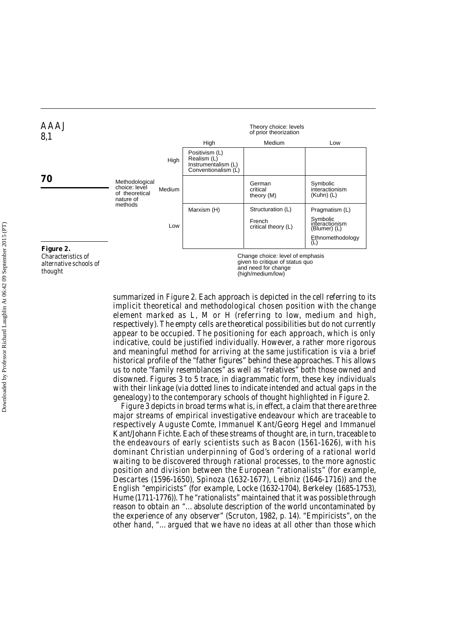

alternative schools of thought

given to critique of status quo and need for change (high/medium/low)

summarized in Figure 2. Each approach is depicted in the cell referring to its implicit theoretical and methodological chosen position with the change element marked as L, M or H (referring to low, medium and high, respectively). The empty cells are theoretical possibilities but do not currently appear to be occupied. The positioning for each approach, which is only indicative, could be justified individually. However, a rather more rigorous and meaningful method for arriving at the same justification is via a brief historical profile of the "father figures" behind these approaches. This allows us to note "family resemblances" as well as "relatives" both those owned and disowned. Figures 3 to 5 trace, in diagrammatic form, these key individuals with their linkage (via dotted lines to indicate intended and actual gaps in the genealogy) to the contemporary schools of thought highlighted in Figure 2.

Figure 3 depicts in broad terms what is, in effect, a claim that there are three major streams of empirical investigative endeavour which are traceable to respectively Auguste Comte, Immanuel Kant/Georg Hegel and Immanuel Kant/Johann Fichte. Each of these streams of thought are, in turn, traceable to the endeavours of early scientists such as Bacon (1561-1626), with his dominant Christian underpinning of God's ordering of a rational world waiting to be discovered through rational processes, to the more agnostic position and division between the European "rationalists" (for example, Descartes (1596-1650), Spinoza (1632-1677), Leibniz (1646-1716)) and the English "empiricists" (for example, Locke (1632-1704), Berkeley (1685-1753), Hume (1711-1776)). The "rationalists" maintained that it was possible through reason to obtain an "…absolute description of the world uncontaminated by the experience of any observer" (Scruton, 1982, p. 14). "Empiricists", on the other hand, "…argued that we have no ideas at all other than those which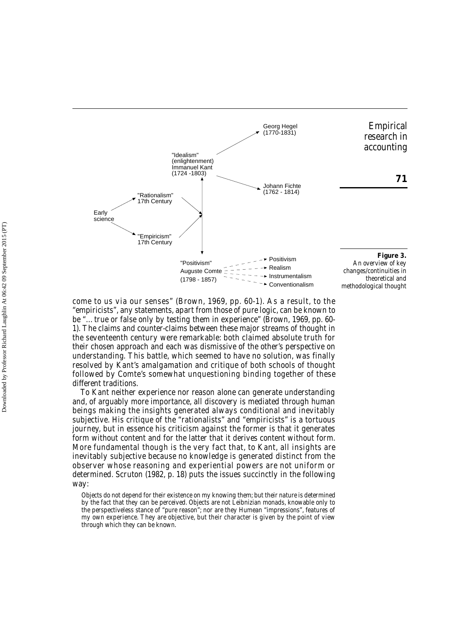

come to us via our senses" (Brown, 1969, pp. 60-1). As a result, to the "empiricists", any statements, apart from those of pure logic, can be known to be "…true or false only by testing them in experience" (Brown, 1969, pp. 60- 1). The claims and counter-claims between these major streams of thought in the seventeenth century were remarkable: both claimed absolute truth for their chosen approach and each was dismissive of the other's perspective on understanding. This battle, which seemed to have no solution, was finally resolved by Kant's amalgamation and critique of both schools of thought followed by Comte's somewhat unquestioning binding together of these different traditions.

To Kant neither experience nor reason *alone* can generate understanding and, of arguably more importance, all discovery is mediated through human beings making the insights generated always conditional and inevitably subjective. His critique of the "rationalists" and "empiricists" is a tortuous journey, but in essence his criticism against the former is that it generates form without content and for the latter that it derives content without form. More fundamental though is the very fact that, to Kant, all insights are inevitably subjective because no knowledge is generated distinct from the observer whose reasoning and experiential powers are not uniform or determined. Scruton (1982, p. 18) puts the issues succinctly in the following way:

Objects do not depend for their existence on my knowing them; but their nature is determined by the fact that they *can* be perceived. Objects are not Leibnizian monads, knowable only to the perspectiveless stance of "pure reason"; nor are they Humean "impressions", features of my own experience. They are objective, but their character is given by the point of view through which they can be known.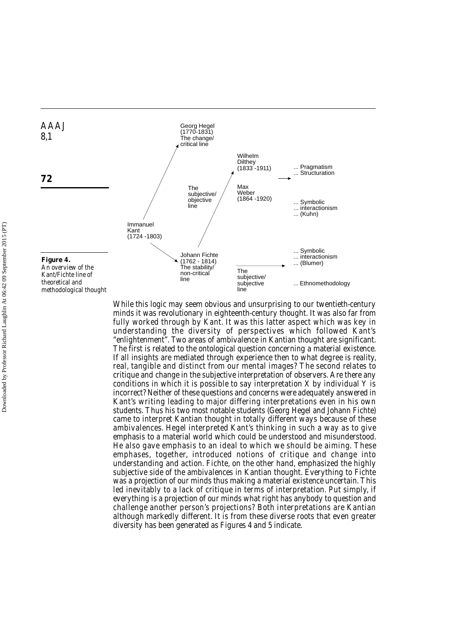

While this logic may seem obvious and unsurprising to our twentieth-century minds it was revolutionary in eighteenth-century thought. It was also far from fully worked through by Kant. It was this latter aspect which was key in understanding the diversity of perspectives which followed Kant's "enlightenment". Two areas of ambivalence in Kantian thought are significant. The first is related to the ontological question concerning a material existence. If all insights are mediated through experience then to what degree is reality, real, tangible and distinct from our mental images? The second relates to critique and change in the subjective interpretation of observers. Are there any conditions in which it is possible to say interpretation X by individual Y is incorrect? Neither of these questions and concerns were adequately answered in Kant's writing leading to major differing interpretations even in his own students. Thus his two most notable students (Georg Hegel and Johann Fichte) came to interpret Kantian thought in totally different ways because of these ambivalences. Hegel interpreted Kant's thinking in such a way as to give emphasis to a material world which could be understood and misunderstood. He also gave emphasis to an ideal to which we should be aiming. These emphases, together, introduced notions of critique and change into understanding and action. Fichte, on the other hand, emphasized the highly subjective side of the ambivalences in Kantian thought. Everything to Fichte was a projection of our minds thus making a material existence uncertain. This led inevitably to a lack of critique in terms of interpretation. Put simply, if everything is a projection of our minds what right has anybody to question and challenge another person's projections? Both interpretations are Kantian although markedly different. It is from these diverse roots that even greater diversity has been generated as Figures 4 and 5 indicate.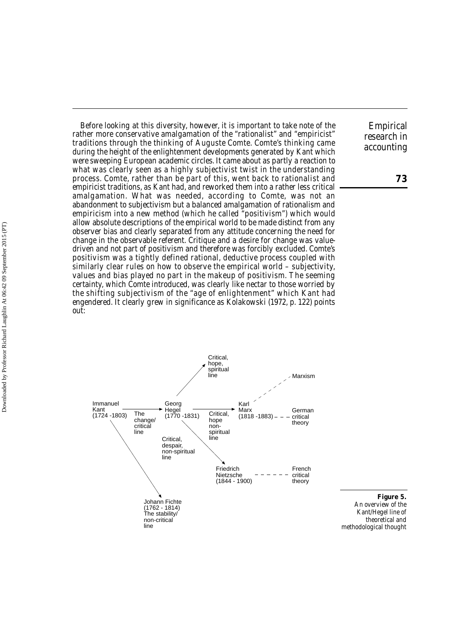Before looking at this diversity, however, it is important to take note of the rather more conservative amalgamation of the "rationalist" and "empiricist" traditions through the thinking of Auguste Comte. Comte's thinking came during the height of the enlightenment developments generated by Kant which were sweeping European academic circles. It came about as partly a reaction to what was clearly seen as a highly subjectivist twist in the understanding process. Comte, rather than be part of this, went back to rationalist and empiricist traditions, as Kant had, and reworked them into a rather less critical amalgamation. What was needed, according to Comte, was not an abandonment to subjectivism but a balanced amalgamation of rationalism and empiricism into a new method (which he called "positivism") which would allow absolute descriptions of the empirical world to be made *distinct from* any observer bias and clearly separated from any attitude concerning the need for change in the observable referent. Critique and a desire for change was valuedriven and not part of positivism and therefore was forcibly excluded. Comte's positivism was a tightly defined rational, deductive process coupled with similarly clear rules on how to observe the empirical world – subjectivity, values and bias played no part in the makeup of positivism. The seeming certainty, which Comte introduced, was clearly like nectar to those worried by the shifting subjectivism of the "age of enlightenment" which Kant had engendered. It clearly grew in significance as Kolakowski (1972, p. 122) points out:



**73**



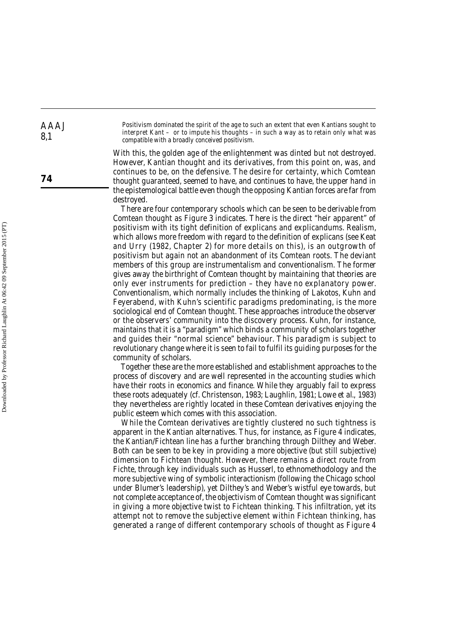Positivism dominated the spirit of the age to such an extent that even Kantians sought to interpret Kant – or to impute his thoughts – in such a way as to retain only what was compatible with a broadly conceived positivism.

With this, the golden age of the enlightenment was dinted but not destroyed. However, Kantian thought and its derivatives, from this point on, was, and continues to be, on the defensive. The desire for certainty, which Comtean thought guaranteed, seemed to have, and continues to have, the upper hand in the epistemological battle even though the opposing Kantian forces are far from destroyed.

There are four contemporary schools which can be seen to be derivable from Comtean thought as Figure 3 indicates. There is the direct "heir apparent" of positivism with its tight definition of explicans and explicandums. Realism, which allows more freedom with regard to the definition of explicans (see Keat and Urry (1982, Chapter 2) for more details on this), is an outgrowth of positivism but again not an abandonment of its Comtean roots. The deviant members of this group are instrumentalism and conventionalism. The former gives away the birthright of Comtean thought by maintaining that theories are only ever instruments for prediction – they have no explanatory power. Conventionalism, which normally includes the thinking of Lakotos, Kuhn and Feyerabend, with Kuhn's scientific paradigms predominating, is the more sociological end of Comtean thought. These approaches introduce the observer or the observers' community into the discovery process. Kuhn, for instance, maintains that it is a "paradigm" which binds a community of scholars together and guides their "normal science" behaviour. This paradigm is subject to revolutionary change where it is seen to fail to fulfil its guiding purposes for the community of scholars.

Together these are the more established and establishment approaches to the process of discovery and are well represented in the accounting studies which have their roots in economics and finance. While they arguably fail to express these roots adequately (cf. Christenson, 1983; Laughlin, 1981; Lowe *et al.,* 1983) they nevertheless are rightly located in these Comtean derivatives enjoying the public esteem which comes with this association.

While the Comtean derivatives are tightly clustered no such tightness is apparent in the Kantian alternatives. Thus, for instance, as Figure 4 indicates, the Kantian/Fichtean line has a further branching through Dilthey and Weber. Both can be seen to be key in providing a more objective (but still subjective) dimension to Fichtean thought. However, there remains a direct route from Fichte, through key individuals such as Husserl, to ethnomethodology and the more subjective wing of symbolic interactionism (following the Chicago school under Blumer's leadership), yet Dilthey's and Weber's wistful eye towards, but not complete acceptance of, the objectivism of Comtean thought was significant in giving a more objective twist to Fichtean thinking. This infiltration, yet its attempt not to remove the subjective element within Fichtean thinking, has generated a range of different contemporary schools of thought as Figure 4

AAAJ 8,1

**74**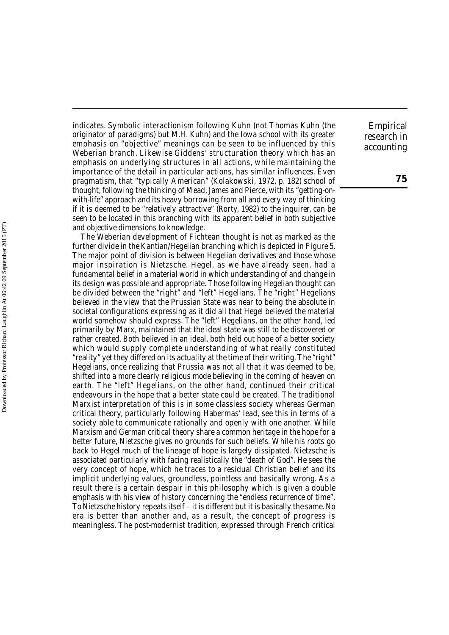indicates. Symbolic interactionism following Kuhn (not Thomas Kuhn (the originator of paradigms) but M.H. Kuhn) and the Iowa school with its greater emphasis on "objective" meanings can be seen to be influenced by this Weberian branch. Likewise Giddens' structuration theory which has an emphasis on underlying structures in all actions, while maintaining the importance of the detail in particular actions, has similar influences. Even pragmatism, that "typically American" (Kolakowski, 1972, p. 182) school of thought, following the thinking of Mead, James and Pierce, with its "getting-onwith-life" approach and its heavy borrowing from all and every way of thinking if it is deemed to be "relatively attractive" (Rorty, 1982) to the inquirer, can be seen to be located in this branching with its apparent belief in both subjective and objective dimensions to knowledge.

The Weberian development of Fichtean thought is not as marked as the further divide in the Kantian/Hegelian branching which is depicted in Figure 5. The major point of division is between Hegelian derivatives and those whose major inspiration is Nietzsche. Hegel, as we have already seen, had a fundamental belief in a material world in which understanding of and change in its design was possible and appropriate. Those following Hegelian thought can be divided between the "right" and "left" Hegelians. The "right" Hegelians believed in the view that the Prussian State was near to being the absolute in societal configurations expressing as it did all that Hegel believed the material world somehow should express. The "left" Hegelians, on the other hand, led primarily by Marx, maintained that the ideal state was still to be discovered or rather created. Both believed in an ideal, both held out hope of a better society which would supply complete understanding of what really constituted "reality" yet they differed on its actuality at the time of their writing. The "right" Hegelians, once realizing that Prussia was not all that it was deemed to be, shifted into a more clearly religious mode believing in the coming of heaven on earth. The "left" Hegelians, on the other hand, continued their critical endeavours in the hope that a better state could be created. The traditional Marxist interpretation of this is in some classless society whereas German critical theory, particularly following Habermas' lead, see this in terms of a society able to communicate rationally and openly with one another. While Marxism and German critical theory share a common heritage in the hope for a better future, Nietzsche gives no grounds for such beliefs. While his roots go back to Hegel much of the lineage of hope is largely dissipated. Nietzsche is associated particularly with facing realistically the "death of God". He sees the very concept of hope, which he traces to a residual Christian belief and its implicit underlying values, groundless, pointless and basically wrong. As a result there is a certain despair in this philosophy which is given a double emphasis with his view of history concerning the "endless recurrence of time". To Nietzsche history repeats itself – it is different but it is basically the same. No era is better than another and, as a result, the concept of progress is meaningless. The post-modernist tradition, expressed through French critical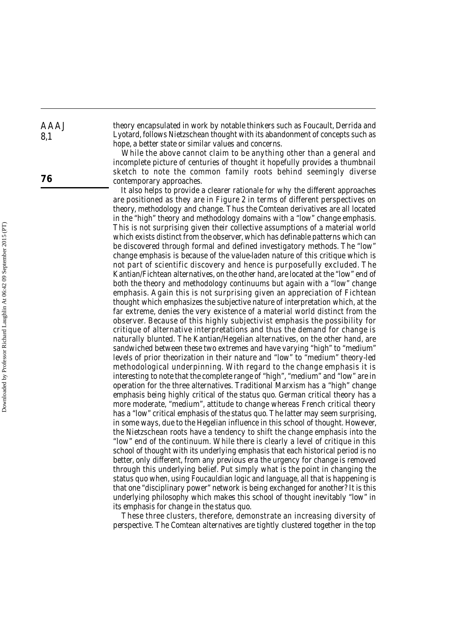theory encapsulated in work by notable thinkers such as Foucault, Derrida and Lyotard, follows Nietzschean thought with its abandonment of concepts such as hope, a better state or similar values and concerns.

While the above cannot claim to be anything other than a general and incomplete picture of centuries of thought it hopefully provides a thumbnail sketch to note the common family roots behind seemingly diverse contemporary approaches.

It also helps to provide a clearer rationale for why the different approaches are positioned as they are in Figure 2 in terms of different perspectives on theory, methodology and change. Thus the Comtean derivatives are all located in the "high" theory and methodology domains with a "low" change emphasis. This is not surprising given their collective assumptions of a material world which exists distinct from the observer, which has definable patterns which can be discovered through formal and defined investigatory methods. The "low" change emphasis is because of the value-laden nature of this critique which is not part of scientific discovery and hence is purposefully excluded. The Kantian/Fichtean alternatives, on the other hand, are located at the "low" end of both the theory and methodology continuums but again with a "low" change emphasis. Again this is not surprising given an appreciation of Fichtean thought which emphasizes the subjective nature of interpretation which, at the far extreme, denies the very existence of a material world distinct from the observer. Because of this highly subjectivist emphasis the possibility for critique of alternative interpretations and thus the demand for change is naturally blunted. The Kantian/Hegelian alternatives, on the other hand, are sandwiched between these two extremes and have varying "high" to "medium" levels of prior theorization in their nature and "low" to "medium" theory-led methodological underpinning. With regard to the change emphasis it is interesting to note that the complete range of "high", "medium" and "low" are in operation for the three alternatives. Traditional Marxism has a "high" change emphasis being highly critical of the status quo. German critical theory has a more moderate, "medium", attitude to change whereas French critical theory has a "low" critical emphasis of the status quo. The latter may seem surprising, in some ways, due to the Hegelian influence in this school of thought. However, the Nietzschean roots have a tendency to shift the change emphasis into the "low" end of the continuum. While there is clearly a level of critique in this school of thought with its underlying emphasis that each historical period is no better, only different, from any previous era the urgency for change is removed through this underlying belief. Put simply what is the point in changing the status quo when, using Foucauldian logic and language, all that is happening is that one "disciplinary power" network is being exchanged for another? It is this underlying philosophy which makes this school of thought inevitably "low" in its emphasis for change in the status quo.

These three clusters, therefore, demonstrate an increasing diversity of perspective. The Comtean alternatives are tightly clustered together in the top

AAAJ 8,1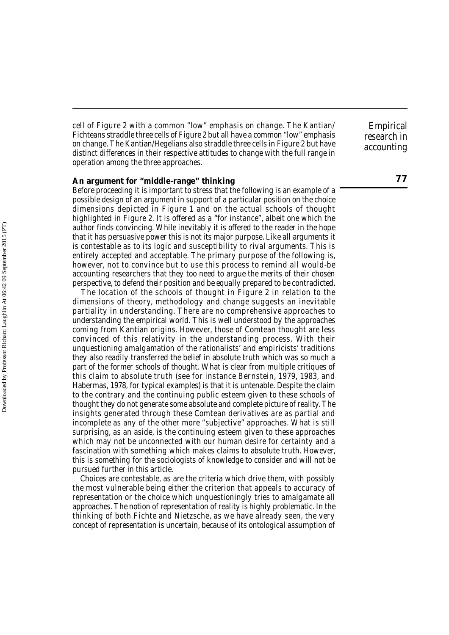cell of Figure 2 with a common "low" emphasis on change. The Kantian/ Fichteans straddle three cells of Figure 2 but all have a common "low" emphasis on change. The Kantian/Hegelians also straddle three cells in Figure 2 but have distinct differences in their respective attitudes to change with the full range in operation among the three approaches.

#### **An argument for "middle-range" thinking**

Before proceeding it is important to stress that the following is an example of a possible design of an argument in support of a particular position on the choice dimensions depicted in Figure 1 and on the actual schools of thought highlighted in Figure 2. It is offered as a "for instance", albeit one which the author finds convincing. While inevitably it is offered to the reader in the hope that it has persuasive power this is not its major purpose. Like all arguments it is contestable as to its logic and susceptibility to rival arguments. This is entirely accepted and acceptable. The primary purpose of the following is, however, not to convince but to use this process to remind all would-be accounting researchers that they too need to argue the merits of their chosen perspective, to defend their position and be equally prepared to be contradicted.

The location of the schools of thought in Figure 2 in relation to the dimensions of theory, methodology and change suggests an inevitable partiality in understanding. There are no comprehensive approaches to understanding the empirical world. This is well understood by the approaches coming from Kantian origins. However, those of Comtean thought are less convinced of this relativity in the understanding process. With their unquestioning amalgamation of the rationalists' and empiricists' traditions they also readily transferred the belief in absolute truth which was so much a part of the former schools of thought. What is clear from multiple critiques of this claim to absolute truth (see for instance Bernstein, 1979, 1983, and Habermas, 1978, for typical examples) is that it is untenable. Despite the claim to the contrary and the continuing public esteem given to these schools of thought they do not generate some absolute and complete picture of reality. The insights generated through these Comtean derivatives are as partial and incomplete as any of the other more "subjective" approaches. What is still surprising, as an aside, is the continuing esteem given to these approaches which may not be unconnected with our human desire for certainty and a fascination with something which makes claims to absolute truth. However, this is something for the sociologists of knowledge to consider and will not be pursued further in this article.

Choices are contestable, as are the criteria which drive them, with possibly the most vulnerable being either the criterion that appeals to accuracy of representation or the choice which unquestioningly tries to amalgamate all approaches. The notion of representation of reality is highly problematic. In the thinking of both Fichte and Nietzsche, as we have already seen, the very concept of representation is uncertain, because of its ontological assumption of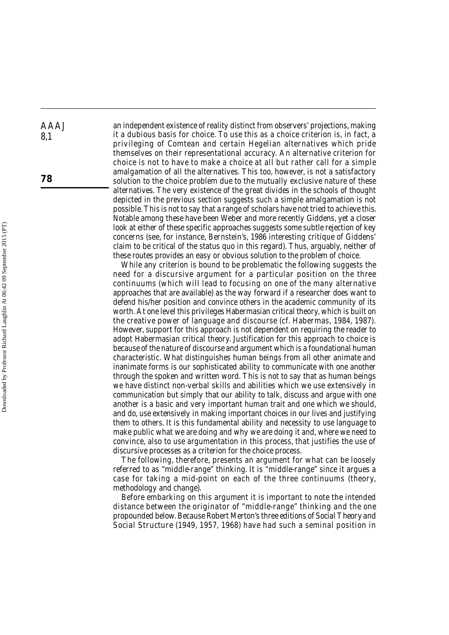AAAJ 8,1

**78**

an independent existence of reality distinct from observers' projections, making it a dubious basis for choice. To use this as a choice criterion is, in fact, a privileging of Comtean and certain Hegelian alternatives which pride themselves on their representational accuracy. An alternative criterion for choice is not to have to make a choice at all but rather call for a simple amalgamation of all the alternatives. This too, however, is not a satisfactory solution to the choice problem due to the mutually exclusive nature of these alternatives. The very existence of the great divides in the schools of thought depicted in the previous section suggests such a simple amalgamation is not possible. This is not to say that a range of scholars have not tried to achieve this. Notable among these have been Weber and more recently Giddens, yet a closer look at either of these specific approaches suggests some subtle rejection of key concerns (see, for instance, Bernstein's, 1986 interesting critique of Giddens' claim to be critical of the status quo in this regard). Thus, arguably, neither of these routes provides an easy or obvious solution to the problem of choice.

While any criterion is bound to be problematic the following suggests the need for a discursive argument for a particular position on the three continuums (which will lead to focusing on one of the many alternative approaches that are available) as the way forward if a researcher does want to defend his/her position and convince others in the academic community of its worth. At one level this privileges Habermasian critical theory, which is built on the creative power of language and discourse (cf. Habermas, 1984, 1987). However, support for this approach is not dependent on requiring the reader to adopt Habermasian critical theory. Justification for this approach to choice is because of the nature of discourse and argument which is a foundational human characteristic. What distinguishes human beings from all other animate and inanimate forms is our sophisticated ability to communicate with one another through the spoken and written word. This is not to say that as human beings we have distinct non-verbal skills and abilities which we use extensively in communication but simply that our ability to talk, discuss and argue with one another is a basic and very important human trait and one which we should, and do, use extensively in making important choices in our lives and justifying them to others. It is this fundamental ability and necessity to use language to make public what we are doing and why we are doing it and, where we need to convince, also to use argumentation in this process, that justifies the use of discursive processes as a criterion for the choice process.

The following, therefore, presents an argument for what can be loosely referred to as "middle-range" thinking. It is "middle-range" since it argues a case for taking a mid-point on each of the three continuums (theory, methodology and change).

Before embarking on this argument it is important to note the intended distance between the originator of "middle-range" thinking and the one propounded below. Because Robert Merton's three editions of *Social Theory and Social Structure* (1949, 1957, 1968) have had such a seminal position in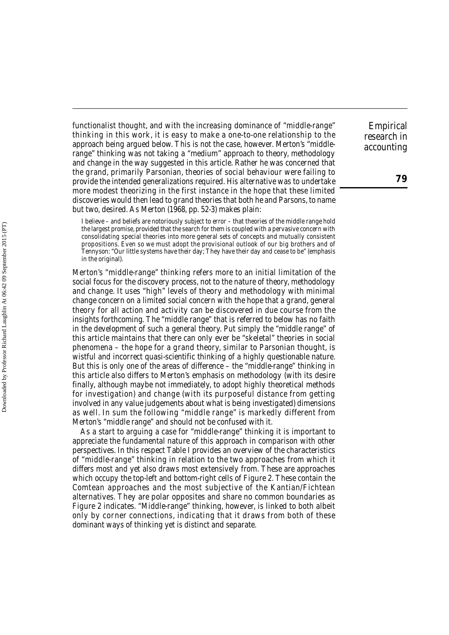functionalist thought, and with the increasing dominance of "middle-range" thinking in this work, it is easy to make a one-to-one relationship to the approach being argued below. This is not the case, however. Merton's "middlerange" thinking was not taking a "medium" approach to theory, methodology and change in the way suggested in this article. Rather he was concerned that the grand, primarily Parsonian, theories of social behaviour were failing to provide the intended generalizations required. His alternative was to undertake more modest theorizing in the first instance in the hope that these limited discoveries would then lead to grand theories that both he and Parsons, to name but two, desired. As Merton (1968, pp. 52-3) makes plain:

I believe – and beliefs are notoriously subject to error – that theories of the middle range hold the largest promise, *provided that* the search for them is coupled with a pervasive concern with consolidating special theories into more general sets of concepts and mutually consistent propositions. Even so we must adopt the provisional outlook of our big brothers and of Tennyson: "Our little systems have their day; They have their day and cease to be" (emphasis in the original).

Merton's "middle-range" thinking refers more to an initial limitation of the social focus for the discovery process, *not* to the nature of theory, methodology and change. It uses "high" levels of theory and methodology with minimal change concern on a limited social concern with the hope that a grand, general theory for all action and activity can be discovered in due course from the insights forthcoming. The "middle range" that is referred to below has no faith in the development of such a general theory. Put simply the "middle range" of this article maintains that there can only ever be "skeletal" theories in social phenomena – the hope for a grand theory, similar to Parsonian thought, is wistful and incorrect quasi-scientific thinking of a highly questionable nature. But this is only one of the areas of difference – the "middle-range" thinking in this article also differs to Merton's emphasis on methodology (with its desire finally, although maybe not immediately, to adopt highly theoretical methods for investigation) and change (with its purposeful distance from getting involved in any value judgements about what is being investigated) dimensions as well. In sum the following "middle range" is markedly different from Merton's "middle range" and should not be confused with it.

As a start to arguing a case for "middle-range" thinking it is important to appreciate the fundamental nature of this approach in comparison with other perspectives. In this respect Table I provides an overview of the characteristics of "middle-range" thinking in relation to the two approaches from which it differs most and yet also draws most extensively from. These are approaches which occupy the top-left and bottom-right cells of Figure 2. These contain the Comtean approaches and the most subjective of the Kantian/Fichtean alternatives. They are polar opposites and share no common boundaries as Figure 2 indicates. "Middle-range" thinking, however, is linked to both albeit only by corner connections, indicating that it draws from both of these dominant ways of thinking yet is distinct and separate.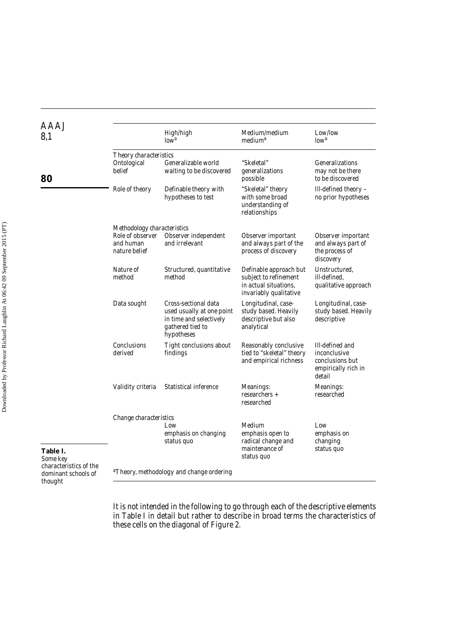| AAAJ<br>8,1                                              |                                                      | High/high<br>low <sup>a</sup>                                                                                  | Medium/medium<br>medium <sup>a</sup>                                                               | Low/low<br>low <sup>a</sup>                                                         |  |
|----------------------------------------------------------|------------------------------------------------------|----------------------------------------------------------------------------------------------------------------|----------------------------------------------------------------------------------------------------|-------------------------------------------------------------------------------------|--|
|                                                          | Theory characteristics                               |                                                                                                                |                                                                                                    |                                                                                     |  |
| 80                                                       | Ontological<br>belief                                | Generalizable world<br>waiting to be discovered                                                                | "Skeletal"<br>generalizations<br>possible                                                          | Generalizations<br>may not be there<br>to be discovered                             |  |
|                                                          | Role of theory                                       | Definable theory with<br>hypotheses to test                                                                    | "Skeletal" theory<br>with some broad<br>understanding of<br>relationships                          | Ill-defined theory -<br>no prior hypotheses                                         |  |
|                                                          | Methodology characteristics                          |                                                                                                                |                                                                                                    |                                                                                     |  |
|                                                          | Role of observer<br>and human<br>nature belief       | Observer independent<br>and irrelevant                                                                         | Observer important<br>and always part of the<br>process of discovery                               | Observer important<br>and always part of<br>the process of<br>discovery             |  |
|                                                          | Nature of<br>method                                  | Structured, quantitative<br>method                                                                             | Definable approach but<br>subject to refinement<br>in actual situations,<br>invariably qualitative | Unstructured.<br>ill-defined.<br>qualitative approach                               |  |
|                                                          | Data sought                                          | Cross-sectional data<br>used usually at one point<br>in time and selectively<br>gathered tied to<br>hypotheses | Longitudinal, case-<br>study based. Heavily<br>descriptive but also<br>analytical                  | Longitudinal, case-<br>study based. Heavily<br>descriptive                          |  |
|                                                          | Conclusions<br>derived                               | Tight conclusions about<br>findings                                                                            | Reasonably conclusive<br>tied to "skeletal" theory<br>and empirical richness                       | Ill-defined and<br>inconclusive<br>conclusions but<br>empirically rich in<br>detail |  |
|                                                          | Validity criteria                                    | Statistical inference                                                                                          | Meanings:<br>researchers +<br>researched                                                           | Meanings:<br>researched                                                             |  |
|                                                          | Change characteristics                               |                                                                                                                |                                                                                                    |                                                                                     |  |
|                                                          |                                                      | Low<br>emphasis on changing<br>status quo                                                                      | Medium<br>emphasis open to<br>radical change and                                                   | Low<br>emphasis on<br>changing                                                      |  |
| Table I.<br>Some key                                     |                                                      |                                                                                                                | maintenance of<br>status quo                                                                       | status quo                                                                          |  |
| characteristics of the<br>dominant schools of<br>thought | <sup>a</sup> Theory, methodology and change ordering |                                                                                                                |                                                                                                    |                                                                                     |  |

It is not intended in the following to go through each of the descriptive elements in Table I in detail but rather to describe in broad terms the characteristics of these cells on the diagonal of Figure 2.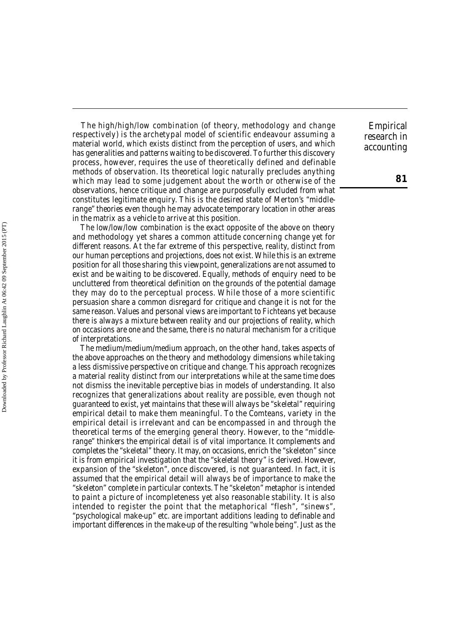The high/high/low combination (of theory, methodology and change respectively) is the archetypal model of scientific endeavour assuming a material world, which exists distinct from the perception of users, and which has generalities and patterns waiting to be discovered. To further this discovery process, however, requires the use of theoretically defined and definable methods of observation. Its theoretical logic naturally precludes anything which may lead to some judgement about the worth or otherwise of the observations, hence critique and change are purposefully excluded from what constitutes legitimate enquiry. This is the desired state of Merton's "middlerange" theories even though he may advocate temporary location in other areas in the matrix as a vehicle to arrive at this position.

The low/low/low combination is the exact opposite of the above on theory and methodology yet shares a common attitude concerning change yet for different reasons. At the far extreme of this perspective, reality, distinct from our human perceptions and projections, does not exist. While this is an extreme position for all those sharing this viewpoint, generalizations are not assumed to exist and be waiting to be discovered. Equally, methods of enquiry need to be uncluttered from theoretical definition on the grounds of the potential damage they may do to the perceptual process. While those of a more scientific persuasion share a common disregard for critique and change it is not for the same reason. Values and personal views are important to Fichteans yet because there is always a mixture between reality and our projections of reality, which on occasions are one and the same, there is no natural mechanism for a critique of interpretations.

The medium/medium/medium approach, on the other hand, takes aspects of the above approaches on the theory and methodology dimensions while taking a less dismissive perspective on critique and change. This approach recognizes a material reality distinct from our interpretations while at the same time does not dismiss the inevitable perceptive bias in models of understanding. It also recognizes that generalizations about reality are possible, even though not guaranteed to exist, yet maintains that these will always be "skeletal" requiring empirical detail to make them meaningful. To the Comteans, variety in the empirical detail is irrelevant and can be encompassed in and through the theoretical terms of the emerging general theory. However, to the "middlerange" thinkers the empirical detail is of vital importance. It complements and completes the "skeletal" theory. It may, on occasions, enrich the "skeleton" since it is from empirical investigation that the "skeletal theory" is derived. However, expansion of the "skeleton", once discovered, is not guaranteed. In fact, it is assumed that the empirical detail will always be of importance to make the "skeleton" complete in particular contexts. The "skeleton" metaphor is intended to paint a picture of incompleteness yet also reasonable stability. It is also intended to register the point that the metaphorical "flesh", "sinews", "psychological make-up" etc. are important additions leading to definable and important differences in the make-up of the resulting "whole being". Just as the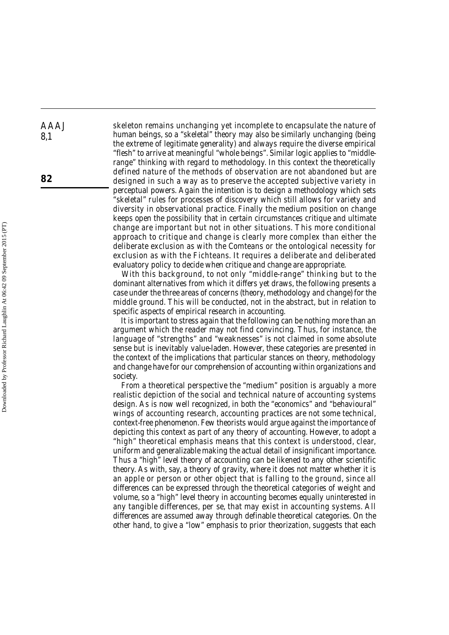AAAJ 8,1

**82**

skeleton remains unchanging yet incomplete to encapsulate the nature of human beings, so a "skeletal" theory may also be similarly unchanging (being the extreme of legitimate generality) and always require the diverse empirical "flesh" to arrive at meaningful "whole beings". Similar logic applies to "middlerange" thinking with regard to methodology. In this context the theoretically defined nature of the methods of observation are not abandoned but are designed in such a way as to preserve the accepted subjective variety in perceptual powers. Again the intention is to design a methodology which sets "skeletal" rules for processes of discovery which still allows for variety and diversity in observational practice. Finally the medium position on change keeps open the possibility that in certain circumstances critique and ultimate change are important but not in other situations. This more conditional approach to critique and change is clearly more complex than either the deliberate exclusion as with the Comteans or the ontological necessity for exclusion as with the Fichteans. It requires a deliberate and deliberated evaluatory policy to decide when critique and change are appropriate.

With this background, to not only "middle-range" thinking but to the dominant alternatives from which it differs yet draws, the following presents a case under the three areas of concerns (theory, methodology and change) for the middle ground. This will be conducted, not in the abstract, but in relation to specific aspects of empirical research in accounting.

It is important to stress again that the following can be nothing more than *an* argument which the reader may not find convincing. Thus, for instance, the language of "strengths" and "weaknesses" is not claimed in some absolute sense but is inevitably value-laden. However, these categories are presented in the context of the implications that particular stances on theory, methodology and change have for our comprehension of accounting within organizations and society.

From a theoretical perspective the "medium" position is arguably a more realistic depiction of the social and technical nature of accounting systems design. As is now well recognized, in both the "economics" and "behavioural" wings of accounting research, accounting practices are not some technical, context-free phenomenon. Few theorists would argue against the importance of depicting this context as part of any theory of accounting. However, to adopt a "high" theoretical emphasis means that this context is understood, clear, uniform and generalizable making the actual detail of insignificant importance. Thus a "high" level theory of accounting can be likened to any other scientific theory. As with, say, a theory of gravity, where it does not matter whether it is an apple or person or other object that is falling to the ground, since all differences can be expressed through the theoretical categories of weight and volume, so a "high" level theory in accounting becomes equally uninterested in any tangible differences, *per se*, that may exist in accounting systems. All differences are assumed away through definable theoretical categories. On the other hand, to give a "low" emphasis to prior theorization, suggests that each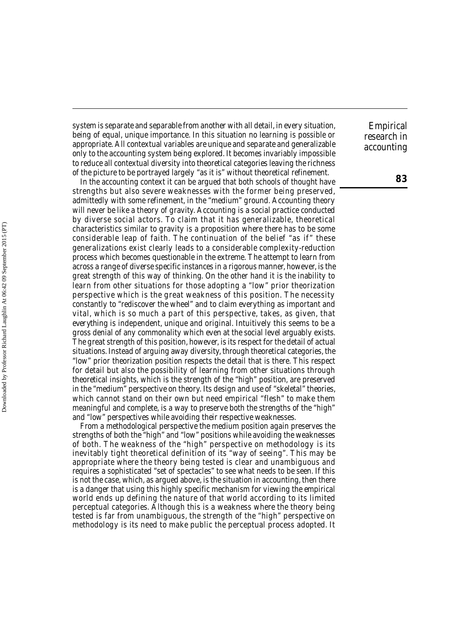system is separate and separable from another with all detail, in every situation, being of equal, unique importance. In this situation no learning is possible or appropriate. All contextual variables are unique and separate and generalizable only to the accounting system being explored. It becomes invariably impossible to reduce all contextual diversity into theoretical categories leaving the richness of the picture to be portrayed largely "as it is" without theoretical refinement.

In the accounting context it can be argued that both schools of thought have strengths but also severe weaknesses with the former being preserved, admittedly with some refinement, in the "medium" ground. Accounting theory will never be like a theory of gravity. Accounting is a social practice conducted by diverse social actors. To claim that it has generalizable, theoretical characteristics similar to gravity is a proposition where there has to be some considerable leap of faith. The continuation of the belief "as if" these generalizations exist clearly leads to a considerable complexity-reduction process which becomes questionable in the extreme. The attempt to learn from across a range of diverse specific instances in a rigorous manner, however, is the great strength of this way of thinking. On the other hand it is the inability to learn from other situations for those adopting a "low" prior theorization perspective which is the great weakness of this position. The necessity constantly to "rediscover the wheel" and to claim everything as important and vital, which is so much a part of this perspective, takes, as given, that *everything* is independent, unique and original. Intuitively this seems to be a gross denial of any commonality which even at the social level arguably exists. The great strength of this position, however, is its respect for the detail of actual situations. Instead of arguing away diversity, through theoretical categories, the "low" prior theorization position respects the detail that is there. This respect for detail but also the possibility of learning from other situations through theoretical insights, which is the strength of the "high" position, are preserved in the "medium" perspective on theory. Its design and use of "skeletal" theories, which cannot stand on their own but need empirical "flesh" to make them meaningful and complete, is a way to preserve both the strengths of the "high" and "low" perspectives while avoiding their respective weaknesses.

From a methodological perspective the medium position again preserves the strengths of both the "high" and "low" positions while avoiding the weaknesses of both. The weakness of the "high" perspective on methodology is its inevitably tight theoretical definition of its "way of seeing". This may be appropriate where the theory being tested is clear and unambiguous and requires a sophisticated "set of spectacles" to see what needs to be seen. If this is not the case, which, as argued above, is the situation in accounting, then there is a danger that using this highly specific mechanism for viewing the empirical world ends up defining the nature of that world according to its limited perceptual categories. Although this is a weakness where the theory being tested is far from unambiguous, the strength of the "high" perspective on methodology is its need to make public the perceptual process adopted. It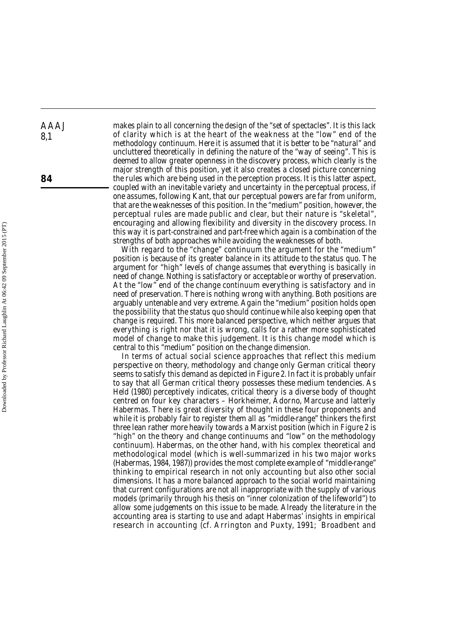makes plain to all concerning the design of the "set of spectacles". It is this lack of clarity which is at the heart of the weakness at the "low" end of the methodology continuum. Here it is assumed that it is better to be "natural" and uncluttered theoretically in defining the nature of the "way of seeing". This is deemed to allow greater openness in the discovery process, which clearly is the major strength of this position, yet it also creates a closed picture concerning the rules which are being used in the perception process. It is this latter aspect, coupled with an inevitable variety and uncertainty in the perceptual process, if one assumes, following Kant, that our perceptual powers are far from uniform, that are the weaknesses of this position. In the "medium" position, however, the perceptual rules are made public and clear, but their nature is "skeletal", encouraging and allowing flexibility and diversity in the discovery process. In this way it is part-constrained and part-free which again is a combination of the strengths of both approaches while avoiding the weaknesses of both.

With regard to the "change" continuum the argument for the "medium" position is because of its greater balance in its attitude to the status quo. The argument for "high" levels of change assumes that everything is basically in need of change. Nothing is satisfactory or acceptable or worthy of preservation. At the "low" end of the change continuum everything is satisfactory and in need of preservation. There is nothing wrong with anything. Both positions are arguably untenable and very extreme. Again the "medium" position holds open the possibility that the status quo should continue while also keeping open that change is required. This more balanced perspective, which neither argues that everything is right nor that it is wrong, calls for a rather more sophisticated model of change to make this judgement. It is this change model which is central to this "medium" position on the change dimension.

In terms of actual social science approaches that reflect this medium perspective on theory, methodology and change only German critical theory seems to satisfy this demand as depicted in Figure 2. In fact it is probably unfair to say that all German critical theory possesses these medium tendencies. As Held (1980) perceptively indicates, critical theory is a diverse body of thought centred on four key characters – Horkheimer, Adorno, Marcuse and latterly Habermas. There is great diversity of thought in these four proponents and while it is probably fair to register them all as "middle-range" thinkers the first three lean rather more heavily towards a Marxist position (which in Figure 2 is "high" on the theory and change continuums and "low" on the methodology continuum). Habermas, on the other hand, with his complex theoretical and methodological model (which is well-summarized in his two major works (Habermas, 1984, 1987)) provides the most complete example of "middle-range" thinking to empirical research in not only accounting but also other social dimensions. It has a more balanced approach to the social world maintaining that current configurations are not all inappropriate with the supply of various models (primarily through his thesis on "inner colonization of the lifeworld") to allow some judgements on this issue to be made. Already the literature in the accounting area is starting to use and adapt Habermas' insights in empirical research in accounting (cf. Arrington and Puxty, 1991; Broadbent and

AAAJ 8,1

**84**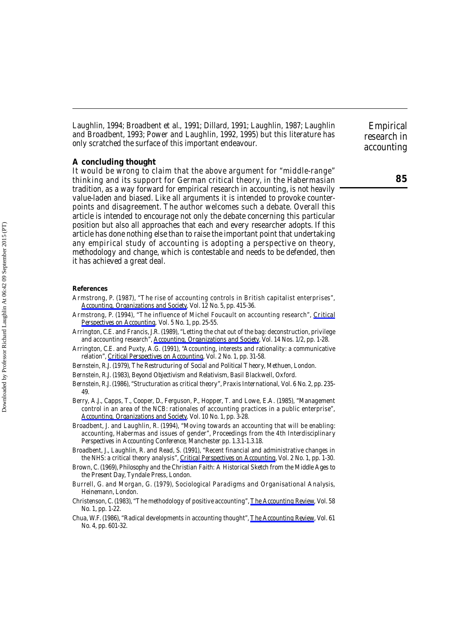Laughlin, 1994; Broadbent *et al.,* 1991; Dillard, 1991; Laughlin, 1987; Laughlin and Broadbent, 1993; Power and Laughlin, 1992, 1995) but this literature has only scratched the surface of this important endeavour.

#### **A concluding thought**

It would be wrong to claim that the above argument for "middle-range" thinking and its support for German critical theory, in the Habermasian tradition, as a way forward for empirical research in accounting, is not heavily value-laden and biased. Like all arguments it is intended to provoke counterpoints and disagreement. The author welcomes such a debate. Overall this article is intended to encourage not only the debate concerning this particular position but also all approaches that each and every researcher adopts. If this article has done nothing else than to raise the important point that undertaking any empirical study of accounting is adopting a perspective on theory, methodology and change, which is contestable and needs to be defended, then it has achieved a great deal.

#### **References**

- Armstrong, P. (1987), "The rise of accounting controls in British capitalist enterprises", *[Accounting, Organizations and Society,](http://www.emeraldinsight.com/action/showLinks?crossref=10.1016%2F0361-3682%2887%2990029-8&isi=A1987K850500002)* Vol. 12 No. 5, pp. 415-36.
- Armstrong, P. (1994), "The influence of Michel Foucault on accounting research", *[Critical](http://www.emeraldinsight.com/action/showLinks?crossref=10.1006%2Fcpac.1994.1003) [Perspectives on Accounting,](http://www.emeraldinsight.com/action/showLinks?crossref=10.1006%2Fcpac.1994.1003)* Vol. 5 No. 1, pp. 25-55*.*
- Arrington, C.E. and Francis, J.R. (1989), "Letting the chat out of the bag: deconstruction, privilege and accounting research", *[Accounting, Organizations and Society](http://www.emeraldinsight.com/action/showLinks?crossref=10.1016%2F0361-3682%2889%2990030-5&isi=A1989R840700001)*, Vol. 14 Nos. 1/2, pp. 1-28.
- Arrington, C.E. and Puxty, A.G. (1991), "Accounting, interests and rationality: a communicative relation", *[Critical Perspectives on Accounting](http://www.emeraldinsight.com/action/showLinks?crossref=10.1016%2F1045-2354%2891%2990018-9)*, Vol. 2 No. 1, pp. 31-58.
- Bernstein, R.J. (1979), *The Restructuring of Social and Political Theory*, Methuen, London.
- Bernstein, R.J. (1983), *Beyond Objectivism and Relativism*, Basil Blackwell, Oxford.
- Bernstein, R.J. (1986), "Structuration as critical theory", *Praxis International,* Vol. 6 No. 2, pp. 235- 49.
- Berry, A.J., Capps, T., Cooper, D., Ferguson, P., Hopper, T. and Lowe, E.A. (1985), "Management control in an area of the NCB: rationales of accounting practices in a public enterprise", *[Accounting, Organizations and Society,](http://www.emeraldinsight.com/action/showLinks?crossref=10.1016%2F0361-3682%2885%2990028-5&isi=A1985ADJ9400001)* Vol. 10 No. 1, pp. 3-28.
- Broadbent, J. and Laughlin, R. (1994), "Moving towards an accounting that will be enabling: accounting, Habermas and issues of gender", *Proceedings from the 4th Interdisciplinary Perspectives in Accounting Conference,* Manchester pp. 1.3.1-1.3.18.

Broadbent, J., Laughlin, R. and Read, S. (1991), "Recent financial and administrative changes in the NHS: a critical theory analysis", *[Critical Perspectives on Accounting](http://www.emeraldinsight.com/action/showLinks?crossref=10.1016%2F1045-2354%2891%2990017-8)*, Vol. 2 No. 1, pp. 1-30.

- Brown, C. (1969), *Philosophy and the Christian Faith: A Historical Sketch from the Middle Ages to the Present Day*, Tyndale Press, London.
- Burrell, G. and Morgan, G. (1979), *Sociological Paradigms and Organisational Analysis,* Heinemann, London.
- Christenson, C. (1983), "The methodology of positive accounting", *[The Accounting Review,](http://www.emeraldinsight.com/action/showLinks?isi=A1983QX72100001)* Vol. 58 No. 1, pp. 1-22.
- Chua, W.F. (1986), "Radical developments in accounting thought", *[The Accounting Review](http://www.emeraldinsight.com/action/showLinks?isi=A1986E305300002)*, Vol. 61 No. 4, pp. 601-32.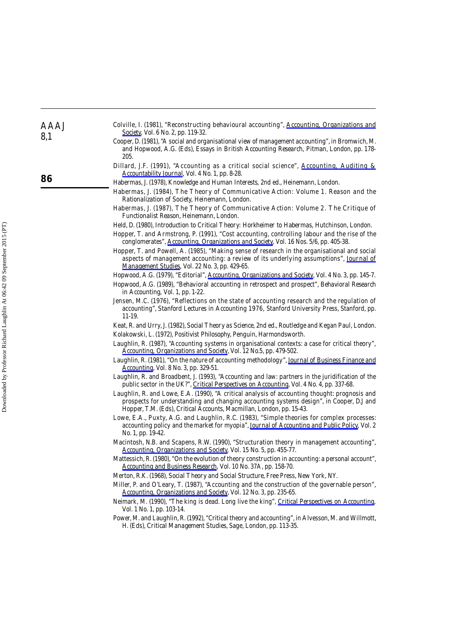| AAAJ<br>8,1 | Colville, I. (1981), "Reconstructing behavioural accounting", Accounting, Organizations and<br><i>Society</i> , Vol. 6 No. 2, pp. 119-32.                                                                                                                                |  |  |  |  |
|-------------|--------------------------------------------------------------------------------------------------------------------------------------------------------------------------------------------------------------------------------------------------------------------------|--|--|--|--|
|             | Cooper, D. (1981), "A social and organisational view of management accounting", in Bromwich, M.<br>and Hopwood, A.G. (Eds), Essays in British Accounting Research, Pitman, London, pp. 178-<br>205.                                                                      |  |  |  |  |
|             | Dillard, J.F. (1991), "Accounting as a critical social science", Accounting, Auditing &<br>Accountability Journal, Vol. 4 No. 1, pp. 8-28.                                                                                                                               |  |  |  |  |
| 86          | Habermas, J. (1978), Knowledge and Human Interests, 2nd ed., Heinemann, London.                                                                                                                                                                                          |  |  |  |  |
|             | Habermas, J. (1984), The Theory of Communicative Action: Volume 1. Reason and the<br>Rationalization of Society, Heinemann, London.                                                                                                                                      |  |  |  |  |
|             | Habermas, J. (1987), The Theory of Communicative Action: Volume 2. The Critique of<br>Functionalist Reason, Heinemann, London.                                                                                                                                           |  |  |  |  |
|             | Held, D. (1980), Introduction to Critical Theory: Horkheimer to Habermas, Hutchinson, London.                                                                                                                                                                            |  |  |  |  |
|             | Hopper, T. and Armstrong, P. (1991), "Cost accounting, controlling labour and the rise of the<br>conglomerates", <i>Accounting, Organizations and Society</i> , Vol. 16 Nos. 5/6, pp. 405-38.                                                                            |  |  |  |  |
|             | Hopper, T. and Powell, A. (1985), "Making sense of research in the organisational and social<br>aspects of management accounting: a review of its underlying assumptions", Journal of<br>Management Studies, Vol. 22 No. 3, pp. 429-65.                                  |  |  |  |  |
|             | Hopwood, A.G. (1979), "Editorial", <i>Accounting, Organizations and Society</i> , Vol. 4 No. 3, pp. 145-7.                                                                                                                                                               |  |  |  |  |
|             | Hopwood, A.G. (1989), "Behavioral accounting in retrospect and prospect", Behavioral Research<br>in Accounting, Vol. 1, pp. 1-22.                                                                                                                                        |  |  |  |  |
|             | Jensen, M.C. (1976), "Reflections on the state of accounting research and the regulation of<br>accounting", Stanford Lectures in Accounting 1976, Stanford University Press, Stanford, pp.<br>11-19.                                                                     |  |  |  |  |
|             | Keat, R. and Urry, J. (1982), Social Theory as Science, 2nd ed., Routledge and Kegan Paul, London.                                                                                                                                                                       |  |  |  |  |
|             | Kolakowski, L. (1972), Positivist Philosophy, Penguin, Harmondsworth.                                                                                                                                                                                                    |  |  |  |  |
|             | Laughlin, R. (1987), "Accounting systems in organisational contexts: a case for critical theory",<br>Accounting, Organizations and Society, Vol. 12 No.5, pp. 479-502.                                                                                                   |  |  |  |  |
|             | Laughlin, R. (1981), "On the nature of accounting methodology", Journal of Business Finance and<br>Accounting, Vol. 8 No. 3, pp. 329-51.                                                                                                                                 |  |  |  |  |
|             | Laughlin, R. and Broadbent, J. (1993), "Accounting and law: partners in the juridification of the<br>public sector in the UK?", <i>Critical Perspectives on Accounting</i> , Vol. 4 No. 4, pp. 337-68.                                                                   |  |  |  |  |
|             | Laughlin, R. and Lowe, E.A. (1990), "A critical analysis of accounting thought: prognosis and<br>prospects for understanding and changing accounting systems design", in Cooper, D.J and<br>Hopper, T.M. (Eds), <i>Critical Accounts</i> , Macmillan, London, pp. 15-43. |  |  |  |  |

- Lowe, E.A., Puxty, A.G. and Laughlin, R.C. (1983), "Simple theories for complex processes: accounting policy and the market for myopia", *[Journal of Accounting and Public Policy,](http://www.emeraldinsight.com/action/showLinks?crossref=10.1016%2F0278-4254%2883%2990017-0)* Vol. 2 No. 1, pp. 19-42.
- Macintosh, N.B. and Scapens, R.W. (1990), "Structuration theory in management accounting", *[Accounting, Organizations and Society,](http://www.emeraldinsight.com/action/showLinks?crossref=10.1016%2F0361-3682%2890%2990028-S&isi=A1990ED65400004)* Vol. 15 No. 5, pp. 455-77.
- Mattessich, R. (1980), "On the evolution of theory construction in accounting: a personal account", *[Accounting and Business Research](http://www.emeraldinsight.com/action/showLinks?crossref=10.1080%2F00014788.1979.9728780),* Vol. 10 No. 37A, pp. 158-70.
- Merton, R.K. (1968), *Social Theory and Social Structure*, Free Press, New York, NY.
- Miller, P. and O'Leary, T. (1987), "Accounting and the construction of the governable person", *[Accounting, Organizations and Society](http://www.emeraldinsight.com/action/showLinks?crossref=10.1016%2F0361-3682%2887%2990039-0&isi=A1987H790500002)*, Vol. 12 No. 3, pp. 235-65.
- Neimark, M. (1990), "The king is dead. Long live the king", *[Critical Perspectives on Accounting,](http://www.emeraldinsight.com/action/showLinks?crossref=10.1016%2F1045-2354%2890%2901010-3)* Vol. 1 No. 1, pp. 103-14.
- Power, M. and Laughlin, R. (1992), "Critical theory and accounting", in Alvesson, M. and Willmott, H. (Eds), *Critical Management Studies*, Sage, London, pp. 113-35.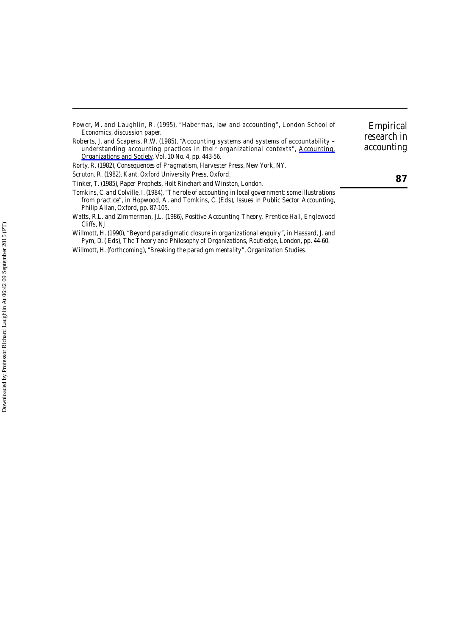| Power, M. and Laughlin, R. (1995), "Habermas, law and accounting", London School of<br>Economics, discussion paper.                                                                                                                            | Empirical<br>research in |  |
|------------------------------------------------------------------------------------------------------------------------------------------------------------------------------------------------------------------------------------------------|--------------------------|--|
| Roberts, J. and Scapens, R.W. (1985), "Accounting systems and systems of accountability –<br>understanding accounting practices in their organizational contexts", Accounting,<br>Organizations and Society, Vol. 10 No. 4, pp. 443-56.        | accounting               |  |
| Rorty, R. (1982), <i>Consequences of Pragmatism</i> , Harvester Press, New York, NY.                                                                                                                                                           |                          |  |
| Scruton, R. (1982), Kant, Oxford University Press, Oxford.                                                                                                                                                                                     | 87                       |  |
| Tinker, T. (1985), Paper Prophets, Holt Rinehart and Winston, London.                                                                                                                                                                          |                          |  |
| Tomkins, C. and Colville, I. (1984), "The role of accounting in local government: some illustrations<br>from practice", in Hopwood, A. and Tomkins, C. (Eds), <i>Issues in Public Sector Accounting</i> ,<br>Philip Allan, Oxford, pp. 87-105. |                          |  |
| Watts, R.L. and Zimmerman, J.L. (1986), <i>Positive Accounting Theory</i> , Prentice-Hall, Englewood<br>Cliffs. NJ.                                                                                                                            |                          |  |
| Willmott, H. (1990), "Beyond paradigmatic closure in organizational enguiry", in Hassard, J. and<br>Pym, D. (Eds), The Theory and Philosophy of Organizations, Routledge, London, pp. 44-60.                                                   |                          |  |

Willmott, H. (forthcoming), "Breaking the paradigm mentality", *Organization Studies.*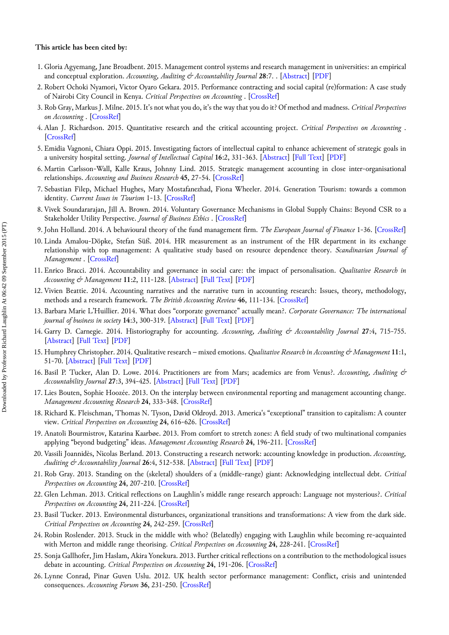#### **This article has been cited by:**

- 1. Gloria Agyemang, Jane Broadbent. 2015. Management control systems and research management in universities: an empirical and conceptual exploration. *Accounting, Auditing & Accountability Journal* **28**:7. . [\[Abstract](http://dx.doi.org/10.1108/AAAJ-11-2013-1531)] [\[PDF\]](http://www.emeraldinsight.com/doi/pdfplus/10.1108/AAAJ-11-2013-1531)
- 2. Robert Ochoki Nyamori, Victor Oyaro Gekara. 2015. Performance contracting and social capital (re)formation: A case study of Nairobi City Council in Kenya. *Critical Perspectives on Accounting* . [\[CrossRef](http://dx.doi.org/10.1016/j.cpa.2015.06.004)]
- 3. Rob Gray, Markus J. Milne. 2015. It's not what you do, it's the way that you do it? Of method and madness. *Critical Perspectives on Accounting* . [[CrossRef\]](http://dx.doi.org/10.1016/j.cpa.2015.04.005)
- 4. Alan J. Richardson. 2015. Quantitative research and the critical accounting project. *Critical Perspectives on Accounting* . [\[CrossRef](http://dx.doi.org/10.1016/j.cpa.2015.04.007)]
- 5. Emidia Vagnoni, Chiara Oppi. 2015. Investigating factors of intellectual capital to enhance achievement of strategic goals in a university hospital setting. *Journal of Intellectual Capital* **16**:2, 331-363. [[Abstract\]](http://dx.doi.org/10.1108/JIC-06-2014-0073) [[Full Text\]](http://www.emeraldinsight.com/doi/full/10.1108/JIC-06-2014-0073) [\[PDF](http://www.emeraldinsight.com/doi/pdfplus/10.1108/JIC-06-2014-0073)]
- 6. Martin Carlsson-Wall, Kalle Kraus, Johnny Lind. 2015. Strategic management accounting in close inter-organisational relationships. *Accounting and Business Research* **45**, 27-54. [\[CrossRef](http://dx.doi.org/10.1080/00014788.2014.965128)]
- 7. Sebastian Filep, Michael Hughes, Mary Mostafanezhad, Fiona Wheeler. 2014. Generation Tourism: towards a common identity. *Current Issues in Tourism* 1-13. [[CrossRef\]](http://dx.doi.org/10.1080/13683500.2013.855174)
- 8. Vivek Soundararajan, Jill A. Brown. 2014. Voluntary Governance Mechanisms in Global Supply Chains: Beyond CSR to a Stakeholder Utility Perspective. *Journal of Business Ethics* . [[CrossRef\]](http://dx.doi.org/10.1007/s10551-014-2418-y)
- 9. John Holland. 2014. A behavioural theory of the fund management firm. *The European Journal of Finance* 1-36. [[CrossRef\]](http://dx.doi.org/10.1080/1351847X.2014.924078)
- 10. Linda Amalou-Döpke, Stefan Süß. 2014. HR measurement as an instrument of the HR department in its exchange relationship with top management: A qualitative study based on resource dependence theory. *Scandinavian Journal of Management* . [\[CrossRef](http://dx.doi.org/10.1016/j.scaman.2014.09.003)]
- 11. Enrico Bracci. 2014. Accountability and governance in social care: the impact of personalisation. *Qualitative Research in Accounting & Management* **11**:2, 111-128. [\[Abstract](http://dx.doi.org/10.1108/QRAM-04-2014-0033)] [\[Full Text](http://www.emeraldinsight.com/doi/full/10.1108/QRAM-04-2014-0033)] [\[PDF](http://www.emeraldinsight.com/doi/pdfplus/10.1108/QRAM-04-2014-0033)]
- 12. Vivien Beattie. 2014. Accounting narratives and the narrative turn in accounting research: Issues, theory, methodology, methods and a research framework. *The British Accounting Review* **46**, 111-134. [[CrossRef\]](http://dx.doi.org/10.1016/j.bar.2014.05.001)
- 13. Barbara Marie L'Huillier. 2014. What does "corporate governance" actually mean?. *Corporate Governance: The international journal of business in society* **14**:3, 300-319. [[Abstract\]](http://dx.doi.org/10.1108/CG-10-2012-0073) [[Full Text\]](http://www.emeraldinsight.com/doi/full/10.1108/CG-10-2012-0073) [\[PDF](http://www.emeraldinsight.com/doi/pdfplus/10.1108/CG-10-2012-0073)]
- 14. Garry D. Carnegie. 2014. Historiography for accounting. *Accounting, Auditing & Accountability Journal* **27**:4, 715-755. [\[Abstract](http://dx.doi.org/10.1108/AAAJ-08-2013-1430)] [\[Full Text](http://www.emeraldinsight.com/doi/full/10.1108/AAAJ-08-2013-1430)] [[PDF\]](http://www.emeraldinsight.com/doi/pdfplus/10.1108/AAAJ-08-2013-1430)
- 15. Humphrey Christopher. 2014. Qualitative research mixed emotions. *Qualitative Research in Accounting & Management* **11**:1, 51-70. [\[Abstract](http://dx.doi.org/10.1108/QRAM-03-2014-0024)] [\[Full Text\]](http://www.emeraldinsight.com/doi/full/10.1108/QRAM-03-2014-0024) [[PDF\]](http://www.emeraldinsight.com/doi/pdfplus/10.1108/QRAM-03-2014-0024)
- 16. Basil P. Tucker, Alan D. Lowe. 2014. Practitioners are from Mars; academics are from Venus?. *Accounting, Auditing & Accountability Journal* **27**:3, 394-425. [[Abstract\]](http://dx.doi.org/10.1108/AAAJ-01-2012-00932) [[Full Text\]](http://www.emeraldinsight.com/doi/full/10.1108/AAAJ-01-2012-00932) [\[PDF](http://www.emeraldinsight.com/doi/pdfplus/10.1108/AAAJ-01-2012-00932)]
- 17. Lies Bouten, Sophie Hoozée. 2013. On the interplay between environmental reporting and management accounting change. *Management Accounting Research* **24**, 333-348. [[CrossRef\]](http://dx.doi.org/10.1016/j.mar.2013.06.005)
- 18. Richard K. Fleischman, Thomas N. Tyson, David Oldroyd. 2013. America's "exceptional" transition to capitalism: A counter view. *Critical Perspectives on Accounting* **24**, 616-626. [\[CrossRef](http://dx.doi.org/10.1016/j.cpa.2013.07.001)]
- 19. Anatoli Bourmistrov, Katarina Kaarbøe. 2013. From comfort to stretch zones: A field study of two multinational companies applying "beyond budgeting" ideas. *Management Accounting Research* **24**, 196-211. [\[CrossRef](http://dx.doi.org/10.1016/j.mar.2013.04.001)]
- 20. Vassili Joannidès, Nicolas Berland. 2013. Constructing a research network: accounting knowledge in production. *Accounting, Auditing & Accountability Journal* **26**:4, 512-538. [[Abstract\]](http://dx.doi.org/10.1108/09513571311327444) [\[Full Text](http://www.emeraldinsight.com/doi/full/10.1108/09513571311327444)] [\[PDF](http://www.emeraldinsight.com/doi/pdfplus/10.1108/09513571311327444)]
- 21. Rob Gray. 2013. Standing on the (skeletal) shoulders of a (middle-range) giant: Acknowledging intellectual debt. *Critical Perspectives on Accounting* **24**, 207-210. [\[CrossRef](http://dx.doi.org/10.1016/j.cpa.2012.07.004)]
- 22. Glen Lehman. 2013. Critical reflections on Laughlin's middle range research approach: Language not mysterious?. *Critical Perspectives on Accounting* **24**, 211-224. [\[CrossRef](http://dx.doi.org/10.1016/j.cpa.2012.07.003)]
- 23. Basil Tucker. 2013. Environmental disturbances, organizational transitions and transformations: A view from the dark side. *Critical Perspectives on Accounting* **24**, 242-259. [[CrossRef\]](http://dx.doi.org/10.1016/j.cpa.2012.01.007)
- 24. Robin Roslender. 2013. Stuck in the middle with who? (Belatedly) engaging with Laughlin while becoming re-acquainted with Merton and middle range theorising. *Critical Perspectives on Accounting* **24**, 228-241. [\[CrossRef](http://dx.doi.org/10.1016/j.cpa.2012.07.005)]
- 25. Sonja Gallhofer, Jim Haslam, Akira Yonekura. 2013. Further critical reflections on a contribution to the methodological issues debate in accounting. *Critical Perspectives on Accounting* **24**, 191-206. [\[CrossRef](http://dx.doi.org/10.1016/j.cpa.2012.09.005)]
- 26. Lynne Conrad, Pinar Guven Uslu. 2012. UK health sector performance management: Conflict, crisis and unintended consequences. *Accounting Forum* **36**, 231-250. [[CrossRef\]](http://dx.doi.org/10.1016/j.accfor.2012.06.001)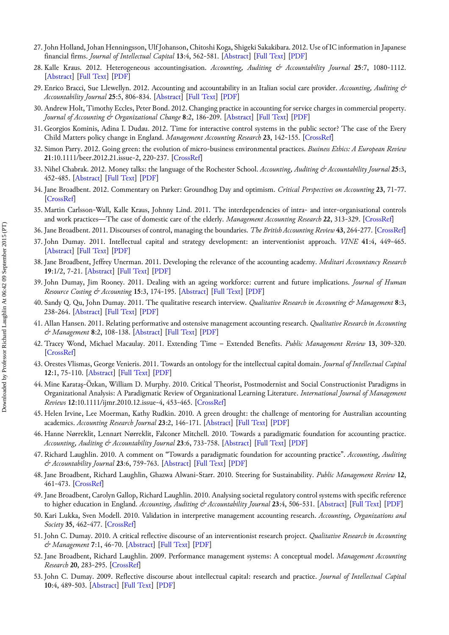- 27. John Holland, Johan Henningsson, Ulf Johanson, Chitoshi Koga, Shigeki Sakakibara. 2012. Use of IC information in Japanese financial firms. *Journal of Intellectual Capital* **13**:4, 562-581. [[Abstract\]](http://dx.doi.org/10.1108/14691931211276133) [\[Full Text](http://www.emeraldinsight.com/doi/full/10.1108/14691931211276133)] [\[PDF](http://www.emeraldinsight.com/doi/pdfplus/10.1108/14691931211276133)]
- 28. Kalle Kraus. 2012. Heterogeneous accountingisation. *Accounting, Auditing & Accountability Journal* **25**:7, 1080-1112. [\[Abstract](http://dx.doi.org/10.1108/09513571211263202)] [\[Full Text](http://www.emeraldinsight.com/doi/full/10.1108/09513571211263202)] [[PDF\]](http://www.emeraldinsight.com/doi/pdfplus/10.1108/09513571211263202)
- 29. Enrico Bracci, Sue Llewellyn. 2012. Accounting and accountability in an Italian social care provider. *Accounting, Auditing & Accountability Journal* **25**:5, 806-834. [[Abstract\]](http://dx.doi.org/10.1108/09513571211234268) [[Full Text\]](http://www.emeraldinsight.com/doi/full/10.1108/09513571211234268) [\[PDF](http://www.emeraldinsight.com/doi/pdfplus/10.1108/09513571211234268)]
- 30. Andrew Holt, Timothy Eccles, Peter Bond. 2012. Changing practice in accounting for service charges in commercial property. *Journal of Accounting & Organizational Change* **8**:2, 186-209. [\[Abstract](http://dx.doi.org/10.1108/18325911211230362)] [\[Full Text\]](http://www.emeraldinsight.com/doi/full/10.1108/18325911211230362) [[PDF\]](http://www.emeraldinsight.com/doi/pdfplus/10.1108/18325911211230362)
- 31. Georgios Kominis, Adina I. Dudau. 2012. Time for interactive control systems in the public sector? The case of the Every Child Matters policy change in England. *Management Accounting Research* **23**, 142-155. [\[CrossRef](http://dx.doi.org/10.1016/j.mar.2012.04.002)]
- 32. Simon Parry. 2012. Going green: the evolution of micro-business environmental practices. *Business Ethics: A European Review* **21**:10.1111/beer.2012.21.issue-2, 220-237. [\[CrossRef](http://dx.doi.org/10.1111/j.1467-8608.2011.01651.x)]
- 33. Nihel Chabrak. 2012. Money talks: the language of the Rochester School. *Accounting, Auditing & Accountability Journal* **25**:3, 452-485. [\[Abstract](http://dx.doi.org/10.1108/09513571211209608)] [\[Full Text](http://www.emeraldinsight.com/doi/full/10.1108/09513571211209608)] [\[PDF](http://www.emeraldinsight.com/doi/pdfplus/10.1108/09513571211209608)]
- 34. Jane Broadbent. 2012. Commentary on Parker: Groundhog Day and optimism. *Critical Perspectives on Accounting* **23**, 71-77. [\[CrossRef](http://dx.doi.org/10.1016/j.cpa.2011.05.002)]
- 35. Martin Carlsson-Wall, Kalle Kraus, Johnny Lind. 2011. The interdependencies of intra- and inter-organisational controls and work practices—The case of domestic care of the elderly. *Management Accounting Research* **22**, 313-329. [[CrossRef\]](http://dx.doi.org/10.1016/j.mar.2010.11.002)
- 36. Jane Broadbent. 2011. Discourses of control, managing the boundaries. *The British Accounting Review* **43**, 264-277. [[CrossRef\]](http://dx.doi.org/10.1016/j.bar.2011.08.003)
- 37. John Dumay. 2011. Intellectual capital and strategy development: an interventionist approach. *VINE* **41**:4, 449-465. [\[Abstract](http://dx.doi.org/10.1108/03055721111188539)] [\[Full Text](http://www.emeraldinsight.com/doi/full/10.1108/03055721111188539)] [[PDF\]](http://www.emeraldinsight.com/doi/pdfplus/10.1108/03055721111188539)
- 38. Jane Broadbent, Jeffrey Unerman. 2011. Developing the relevance of the accounting academy. *Meditari Accountancy Research* **19**:1/2, 7-21. [[Abstract\]](http://dx.doi.org/10.1108/10222521111178600) [[Full Text\]](http://www.emeraldinsight.com/doi/full/10.1108/10222521111178600) [\[PDF](http://www.emeraldinsight.com/doi/pdfplus/10.1108/10222521111178600)]
- 39. John Dumay, Jim Rooney. 2011. Dealing with an ageing workforce: current and future implications. *Journal of Human Resource Costing & Accounting* **15**:3, 174-195. [\[Abstract](http://dx.doi.org/10.1108/14013381111178578)] [[Full Text\]](http://www.emeraldinsight.com/doi/full/10.1108/14013381111178578) [[PDF\]](http://www.emeraldinsight.com/doi/pdfplus/10.1108/14013381111178578)
- 40. Sandy Q. Qu, John Dumay. 2011. The qualitative research interview. *Qualitative Research in Accounting & Management* **8**:3, 238-264. [\[Abstract](http://dx.doi.org/10.1108/11766091111162070)] [\[Full Text](http://www.emeraldinsight.com/doi/full/10.1108/11766091111162070)] [\[PDF](http://www.emeraldinsight.com/doi/pdfplus/10.1108/11766091111162070)]
- 41. Allan Hansen. 2011. Relating performative and ostensive management accounting research. *Qualitative Research in Accounting & Management* **8**:2, 108-138. [\[Abstract](http://dx.doi.org/10.1108/11766091111137546)] [[Full Text\]](http://www.emeraldinsight.com/doi/full/10.1108/11766091111137546) [[PDF\]](http://www.emeraldinsight.com/doi/pdfplus/10.1108/11766091111137546)
- 42. Tracey Wond, Michael Macaulay. 2011. Extending Time Extended Benefits. *Public Management Review* **13**, 309-320. [\[CrossRef](http://dx.doi.org/10.1080/14719037.2010.536059)]
- 43. Orestes Vlismas, George Venieris. 2011. Towards an ontology for the intellectual capital domain. *Journal of Intellectual Capital* **12**:1, 75-110. [[Abstract\]](http://dx.doi.org/10.1108/14691931111097926) [[Full Text\]](http://www.emeraldinsight.com/doi/full/10.1108/14691931111097926) [[PDF](http://www.emeraldinsight.com/doi/pdfplus/10.1108/14691931111097926)]
- 44. Mine Karataş-Özkan, William D. Murphy. 2010. Critical Theorist, Postmodernist and Social Constructionist Paradigms in Organizational Analysis: A Paradigmatic Review of Organizational Learning Literature. *International Journal of Management Reviews* **12**:10.1111/ijmr.2010.12.issue-4, 453-465. [\[CrossRef](http://dx.doi.org/10.1111/j.1468-2370.2009.00273.x)]
- 45. Helen Irvine, Lee Moerman, Kathy Rudkin. 2010. A green drought: the challenge of mentoring for Australian accounting academics. *Accounting Research Journal* **23**:2, 146-171. [[Abstract\]](http://dx.doi.org/10.1108/10309611011073241) [[Full Text\]](http://www.emeraldinsight.com/doi/full/10.1108/10309611011073241) [\[PDF](http://www.emeraldinsight.com/doi/pdfplus/10.1108/10309611011073241)]
- 46. Hanne Nørreklit, Lennart Nørreklit, Falconer Mitchell. 2010. Towards a paradigmatic foundation for accounting practice. *Accounting, Auditing & Accountability Journal* **23**:6, 733-758. [\[Abstract](http://dx.doi.org/10.1108/09513571011065844)] [\[Full Text](http://www.emeraldinsight.com/doi/full/10.1108/09513571011065844)] [[PDF\]](http://www.emeraldinsight.com/doi/pdfplus/10.1108/09513571011065844)
- 47. Richard Laughlin. 2010. A comment on "Towards a paradigmatic foundation for accounting practice". *Accounting, Auditing & Accountability Journal* **23**:6, 759-763. [\[Abstract](http://dx.doi.org/10.1108/09513571011065853)] [\[Full Text](http://www.emeraldinsight.com/doi/full/10.1108/09513571011065853)] [[PDF\]](http://www.emeraldinsight.com/doi/pdfplus/10.1108/09513571011065853)
- 48. Jane Broadbent, Richard Laughlin, Ghazwa Alwani-Starr. 2010. Steering for Sustainability. *Public Management Review* **12**, 461-473. [\[CrossRef](http://dx.doi.org/10.1080/14719037.2010.496257)]
- 49. Jane Broadbent, Carolyn Gallop, Richard Laughlin. 2010. Analysing societal regulatory control systems with specific reference to higher education in England. *Accounting, Auditing & Accountability Journal* **23**:4, 506-531. [[Abstract\]](http://dx.doi.org/10.1108/09513571011041606) [\[Full Text](http://www.emeraldinsight.com/doi/full/10.1108/09513571011041606)] [\[PDF](http://www.emeraldinsight.com/doi/pdfplus/10.1108/09513571011041606)]
- 50. Kari Lukka, Sven Modell. 2010. Validation in interpretive management accounting research. *Accounting, Organizations and Society* **35**, 462-477. [[CrossRef](http://dx.doi.org/10.1016/j.aos.2009.10.004)]
- 51. John C. Dumay. 2010. A critical reflective discourse of an interventionist research project. *Qualitative Research in Accounting & Management* **7**:1, 46-70. [[Abstract\]](http://dx.doi.org/10.1108/11766091011034271) [[Full Text\]](http://www.emeraldinsight.com/doi/full/10.1108/11766091011034271) [\[PDF](http://www.emeraldinsight.com/doi/pdfplus/10.1108/11766091011034271)]
- 52. Jane Broadbent, Richard Laughlin. 2009. Performance management systems: A conceptual model. *Management Accounting Research* **20**, 283-295. [\[CrossRef](http://dx.doi.org/10.1016/j.mar.2009.07.004)]
- 53. John C. Dumay. 2009. Reflective discourse about intellectual capital: research and practice. *Journal of Intellectual Capital* **10**:4, 489-503. [[Abstract\]](http://dx.doi.org/10.1108/14691930910996607) [\[Full Text](http://www.emeraldinsight.com/doi/full/10.1108/14691930910996607)] [\[PDF](http://www.emeraldinsight.com/doi/pdfplus/10.1108/14691930910996607)]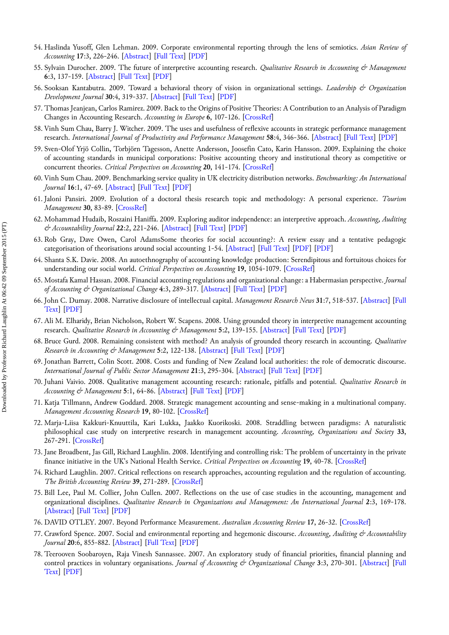- 54. Haslinda Yusoff, Glen Lehman. 2009. Corporate environmental reporting through the lens of semiotics. *Asian Review of Accounting* **17**:3, 226-246. [\[Abstract](http://dx.doi.org/10.1108/13217340910991938)] [\[Full Text](http://www.emeraldinsight.com/doi/full/10.1108/13217340910991938)] [\[PDF\]](http://www.emeraldinsight.com/doi/pdfplus/10.1108/13217340910991938)
- 55. Sylvain Durocher. 2009. The future of interpretive accounting research. *Qualitative Research in Accounting & Management* **6**:3, 137-159. [[Abstract\]](http://dx.doi.org/10.1108/11766090910973902) [[Full Text\]](http://www.emeraldinsight.com/doi/full/10.1108/11766090910973902) [[PDF](http://www.emeraldinsight.com/doi/pdfplus/10.1108/11766090910973902)]
- 56. Sooksan Kantabutra. 2009. Toward a behavioral theory of vision in organizational settings. *Leadership & Organization Development Journal* **30**:4, 319-337. [[Abstract\]](http://dx.doi.org/10.1108/01437730910961667) [\[Full Text](http://www.emeraldinsight.com/doi/full/10.1108/01437730910961667)] [\[PDF](http://www.emeraldinsight.com/doi/pdfplus/10.1108/01437730910961667)]
- 57. Thomas Jeanjean, Carlos Ramirez. 2009. Back to the Origins of Positive Theories: A Contribution to an Analysis of Paradigm Changes in Accounting Research. *Accounting in Europe* **6**, 107-126. [\[CrossRef](http://dx.doi.org/10.1080/17449480902896510)]
- 58. Vinh Sum Chau, Barry J. Witcher. 2009. The uses and usefulness of reflexive accounts in strategic performance management research. *International Journal of Productivity and Performance Management* **58**:4, 346-366. [\[Abstract](http://dx.doi.org/10.1108/17410400910951017)] [[Full Text\]](http://www.emeraldinsight.com/doi/full/10.1108/17410400910951017) [[PDF\]](http://www.emeraldinsight.com/doi/pdfplus/10.1108/17410400910951017)
- 59. Sven-Olof Yrjö Collin, Torbjörn Tagesson, Anette Andersson, Joosefin Cato, Karin Hansson. 2009. Explaining the choice of accounting standards in municipal corporations: Positive accounting theory and institutional theory as competitive or concurrent theories. *Critical Perspectives on Accounting* **20**, 141-174. [[CrossRef\]](http://dx.doi.org/10.1016/j.cpa.2008.09.003)
- 60. Vinh Sum Chau. 2009. Benchmarking service quality in UK electricity distribution networks. *Benchmarking: An International Journal* **16**:1, 47-69. [[Abstract\]](http://dx.doi.org/10.1108/14635770910936513) [[Full Text\]](http://www.emeraldinsight.com/doi/full/10.1108/14635770910936513) [[PDF](http://www.emeraldinsight.com/doi/pdfplus/10.1108/14635770910936513)]
- 61. Jaloni Pansiri. 2009. Evolution of a doctoral thesis research topic and methodology: A personal experience. *Tourism Management* **30**, 83-89. [\[CrossRef](http://dx.doi.org/10.1016/j.tourman.2008.04.001)]
- 62. Mohammad Hudaib, Roszaini Haniffa. 2009. Exploring auditor independence: an interpretive approach. *Accounting, Auditing & Accountability Journal* **22**:2, 221-246. [\[Abstract](http://dx.doi.org/10.1108/09513570910933951)] [\[Full Text](http://www.emeraldinsight.com/doi/full/10.1108/09513570910933951)] [[PDF\]](http://www.emeraldinsight.com/doi/pdfplus/10.1108/09513570910933951)
- 63. Rob Gray, Dave Owen, Carol AdamsSome theories for social accounting?: A review essay and a tentative pedagogic categorisation of theorisations around social accounting 1-54. [\[Abstract](http://dx.doi.org/10.1108/S1479-3598(2010)0000004005)] [[Full Text\]](http://www.emeraldinsight.com/doi/full/10.1108/S1479-3598%282010%290000004005) [[PDF\]](http://www.emeraldinsight.com/doi/pdf/10.1108/S1479-3598%282010%290000004005) [[PDF](http://www.emeraldinsight.com/doi/pdfplus/10.1108/S1479-3598%282010%290000004005)]
- 64. Shanta S.K. Davie. 2008. An autoethnography of accounting knowledge production: Serendipitous and fortuitous choices for understanding our social world. *Critical Perspectives on Accounting* **19**, 1054-1079. [\[CrossRef](http://dx.doi.org/10.1016/j.cpa.2007.03.011)]
- 65. Mostafa Kamal Hassan. 2008. Financial accounting regulations and organizational change: a Habermasian perspective. *Journal of Accounting & Organizational Change* **4**:3, 289-317. [[Abstract](http://dx.doi.org/10.1108/18325910810898070)] [\[Full Text](http://www.emeraldinsight.com/doi/full/10.1108/18325910810898070)] [\[PDF](http://www.emeraldinsight.com/doi/pdfplus/10.1108/18325910810898070)]
- 66. John C. Dumay. 2008. Narrative disclosure of intellectual capital. *Management Research News* **31**:7, 518-537. [[Abstract\]](http://dx.doi.org/10.1108/01409170810876080) [\[Full](http://www.emeraldinsight.com/doi/full/10.1108/01409170810876080) [Text](http://www.emeraldinsight.com/doi/full/10.1108/01409170810876080)] [[PDF\]](http://www.emeraldinsight.com/doi/pdfplus/10.1108/01409170810876080)
- 67. Ali M. Elharidy, Brian Nicholson, Robert W. Scapens. 2008. Using grounded theory in interpretive management accounting research. *Qualitative Research in Accounting & Management* **5**:2, 139-155. [[Abstract\]](http://dx.doi.org/10.1108/11766090810888935) [[Full Text\]](http://www.emeraldinsight.com/doi/full/10.1108/11766090810888935) [[PDF](http://www.emeraldinsight.com/doi/pdfplus/10.1108/11766090810888935)]
- 68. Bruce Gurd. 2008. Remaining consistent with method? An analysis of grounded theory research in accounting. *Qualitative Research in Accounting & Management* **5**:2, 122-138. [\[Abstract](http://dx.doi.org/10.1108/11766090810888926)] [\[Full Text](http://www.emeraldinsight.com/doi/full/10.1108/11766090810888926)] [\[PDF\]](http://www.emeraldinsight.com/doi/pdfplus/10.1108/11766090810888926)
- 69. Jonathan Barrett, Colin Scott. 2008. Costs and funding of New Zealand local authorities: the role of democratic discourse. *International Journal of Public Sector Management* **21**:3, 295-304. [\[Abstract](http://dx.doi.org/10.1108/09513550810863196)] [[Full Text\]](http://www.emeraldinsight.com/doi/full/10.1108/09513550810863196) [[PDF\]](http://www.emeraldinsight.com/doi/pdfplus/10.1108/09513550810863196)
- 70. Juhani Vaivio. 2008. Qualitative management accounting research: rationale, pitfalls and potential. *Qualitative Research in Accounting & Management* **5**:1, 64-86. [\[Abstract](http://dx.doi.org/10.1108/11766090810856787)] [\[Full Text](http://www.emeraldinsight.com/doi/full/10.1108/11766090810856787)] [\[PDF](http://www.emeraldinsight.com/doi/pdfplus/10.1108/11766090810856787)]
- 71. Katja Tillmann, Andrew Goddard. 2008. Strategic management accounting and sense-making in a multinational company. *Management Accounting Research* **19**, 80-102. [\[CrossRef](http://dx.doi.org/10.1016/j.mar.2007.11.002)]
- 72. Marja-Liisa Kakkuri-Knuuttila, Kari Lukka, Jaakko Kuorikoski. 2008. Straddling between paradigms: A naturalistic philosophical case study on interpretive research in management accounting. *Accounting, Organizations and Society* **33**, 267-291. [\[CrossRef](http://dx.doi.org/10.1016/j.aos.2006.12.003)]
- 73. Jane Broadbent, Jas Gill, Richard Laughlin. 2008. Identifying and controlling risk: The problem of uncertainty in the private finance initiative in the UK's National Health Service. *Critical Perspectives on Accounting* **19**, 40-78. [\[CrossRef](http://dx.doi.org/10.1016/j.cpa.2006.04.006)]
- 74. Richard Laughlin. 2007. Critical reflections on research approaches, accounting regulation and the regulation of accounting. *The British Accounting Review* **39**, 271-289. [[CrossRef\]](http://dx.doi.org/10.1016/j.bar.2007.08.004)
- 75. Bill Lee, Paul M. Collier, John Cullen. 2007. Reflections on the use of case studies in the accounting, management and organizational disciplines. *Qualitative Research in Organizations and Management: An International Journal* **2**:3, 169-178. [\[Abstract](http://dx.doi.org/10.1108/17465640710835337)] [\[Full Text](http://www.emeraldinsight.com/doi/full/10.1108/17465640710835337)] [[PDF\]](http://www.emeraldinsight.com/doi/pdfplus/10.1108/17465640710835337)
- 76.DAVID OTLEY. 2007. Beyond Performance Measurement. *Australian Accounting Review* **17**, 26-32. [\[CrossRef](http://dx.doi.org/10.1111/j.1835-2561.2007.tb00333.x)]
- 77. Crawford Spence. 2007. Social and environmental reporting and hegemonic discourse. *Accounting, Auditing & Accountability Journal* **20**:6, 855-882. [\[Abstract](http://dx.doi.org/10.1108/09513570710830272)] [\[Full Text](http://www.emeraldinsight.com/doi/full/10.1108/09513570710830272)] [[PDF\]](http://www.emeraldinsight.com/doi/pdfplus/10.1108/09513570710830272)
- 78. Teerooven Soobaroyen, Raja Vinesh Sannassee. 2007. An exploratory study of financial priorities, financial planning and control practices in voluntary organisations. *Journal of Accounting & Organizational Change* **3**:3, 270-301. [[Abstract\]](http://dx.doi.org/10.1108/18325910710820300) [\[Full](http://www.emeraldinsight.com/doi/full/10.1108/18325910710820300) [Text](http://www.emeraldinsight.com/doi/full/10.1108/18325910710820300)] [[PDF\]](http://www.emeraldinsight.com/doi/pdfplus/10.1108/18325910710820300)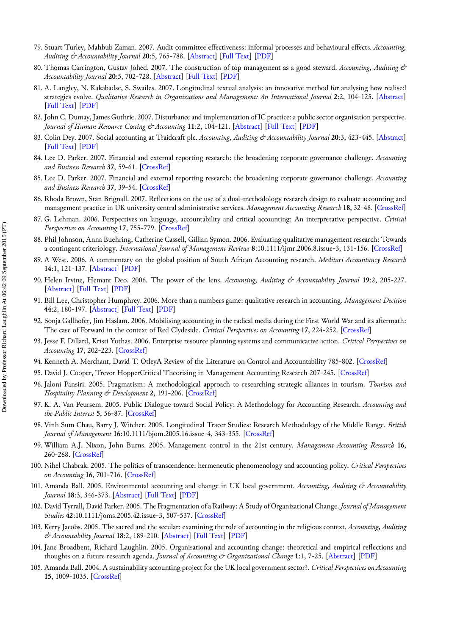- 79. Stuart Turley, Mahbub Zaman. 2007. Audit committee effectiveness: informal processes and behavioural effects. *Accounting, Auditing & Accountability Journal* **20**:5, 765-788. [[Abstract\]](http://dx.doi.org/10.1108/09513570710779036) [\[Full Text](http://www.emeraldinsight.com/doi/full/10.1108/09513570710779036)] [\[PDF](http://www.emeraldinsight.com/doi/pdfplus/10.1108/09513570710779036)]
- 80. Thomas Carrington, Gustav Johed. 2007. The construction of top management as a good steward. *Accounting, Auditing & Accountability Journal* **20**:5, 702-728. [[Abstract\]](http://dx.doi.org/10.1108/09513570710779018) [[Full Text\]](http://www.emeraldinsight.com/doi/full/10.1108/09513570710779018) [\[PDF](http://www.emeraldinsight.com/doi/pdfplus/10.1108/09513570710779018)]
- 81. A. Langley, N. Kakabadse, S. Swailes. 2007. Longitudinal textual analysis: an innovative method for analysing how realised strategies evolve. *Qualitative Research in Organizations and Management: An International Journal* **2**:2, 104-125. [[Abstract\]](http://dx.doi.org/10.1108/17465640710778511) [\[Full Text](http://www.emeraldinsight.com/doi/full/10.1108/17465640710778511)] [\[PDF\]](http://www.emeraldinsight.com/doi/pdfplus/10.1108/17465640710778511)
- 82. John C. Dumay, James Guthrie. 2007. Disturbance and implementation of IC practice: a public sector organisation perspective. *Journal of Human Resource Costing & Accounting* **11**:2, 104-121. [\[Abstract](http://dx.doi.org/10.1108/14013380710778767)] [\[Full Text](http://www.emeraldinsight.com/doi/full/10.1108/14013380710778767)] [\[PDF\]](http://www.emeraldinsight.com/doi/pdfplus/10.1108/14013380710778767)
- 83. Colin Dey. 2007. Social accounting at Traidcraft plc. *Accounting, Auditing & Accountability Journal* **20**:3, 423-445. [[Abstract\]](http://dx.doi.org/10.1108/09513570710748571) [\[Full Text](http://www.emeraldinsight.com/doi/full/10.1108/09513570710748571)] [\[PDF\]](http://www.emeraldinsight.com/doi/pdfplus/10.1108/09513570710748571)
- 84. Lee D. Parker. 2007. Financial and external reporting research: the broadening corporate governance challenge. *Accounting and Business Research* **37**, 59-61. [[CrossRef\]](http://dx.doi.org/10.1080/00014788.2007.9730059)
- 85. Lee D. Parker. 2007. Financial and external reporting research: the broadening corporate governance challenge. *Accounting and Business Research* **37**, 39-54. [[CrossRef\]](http://dx.doi.org/10.1080/00014788.2007.9730057)
- 86. Rhoda Brown, Stan Brignall. 2007. Reflections on the use of a dual-methodology research design to evaluate accounting and management practice in UK university central administrative services. *Management Accounting Research* **18**, 32-48. [[CrossRef\]](http://dx.doi.org/10.1016/j.mar.2006.07.001)
- 87. G. Lehman. 2006. Perspectives on language, accountability and critical accounting: An interpretative perspective. *Critical Perspectives on Accounting* **17**, 755-779. [\[CrossRef](http://dx.doi.org/10.1016/j.cpa.2005.02.002)]
- 88. Phil Johnson, Anna Buehring, Catherine Cassell, Gillian Symon. 2006. Evaluating qualitative management research: Towards a contingent criteriology. *International Journal of Management Reviews* **8**:10.1111/ijmr.2006.8.issue-3, 131-156. [\[CrossRef](http://dx.doi.org/10.1111/j.1468-2370.2006.00124.x)]
- 89. A West. 2006. A commentary on the global position of South African Accounting research. *Meditari Accountancy Research* **14**:1, 121-137. [[Abstract\]](http://dx.doi.org/10.1108/10222529200600008) [\[PDF](http://www.emeraldinsight.com/doi/pdfplus/10.1108/10222529200600008)]
- 90. Helen Irvine, Hemant Deo. 2006. The power of the lens. *Accounting, Auditing & Accountability Journal* **19**:2, 205-227. [\[Abstract](http://dx.doi.org/10.1108/09513570610656097)] [\[Full Text](http://www.emeraldinsight.com/doi/full/10.1108/09513570610656097)] [[PDF\]](http://www.emeraldinsight.com/doi/pdfplus/10.1108/09513570610656097)
- 91. Bill Lee, Christopher Humphrey. 2006. More than a numbers game: qualitative research in accounting. *Management Decision* **44**:2, 180-197. [[Abstract\]](http://dx.doi.org/10.1108/00251740610650184) [\[Full Text](http://www.emeraldinsight.com/doi/full/10.1108/00251740610650184)] [\[PDF](http://www.emeraldinsight.com/doi/pdfplus/10.1108/00251740610650184)]
- 92. Sonja Gallhofer, Jim Haslam. 2006. Mobilising accounting in the radical media during the First World War and its aftermath: The case of Forward in the context of Red Clydeside. *Critical Perspectives on Accounting* **17**, 224-252. [\[CrossRef](http://dx.doi.org/10.1016/j.cpa.2003.06.009)]
- 93. Jesse F. Dillard, Kristi Yuthas. 2006. Enterprise resource planning systems and communicative action. *Critical Perspectives on Accounting* **17**, 202-223. [[CrossRef\]](http://dx.doi.org/10.1016/j.cpa.2005.08.003)
- 94. Kenneth A. Merchant, David T. OtleyA Review of the Literature on Control and Accountability 785-802. [[CrossRef\]](http://dx.doi.org/10.1016/S1751-3243(06)02013-X)
- 95.David J. Cooper, Trevor HopperCritical Theorising in Management Accounting Research 207-245. [\[CrossRef](http://dx.doi.org/10.1016/S1751-3243(06)01007-8)]
- 96. Jaloni Pansiri. 2005. Pragmatism: A methodological approach to researching strategic alliances in tourism. *Tourism and Hospitality Planning & Development* **2**, 191-206. [\[CrossRef](http://dx.doi.org/10.1080/14790530500399333)]
- 97. K. A. Van Peursem. 2005. Public Dialogue toward Social Policy: A Methodology for Accounting Research. *Accounting and the Public Interest* **5**, 56-87. [\[CrossRef](http://dx.doi.org/10.2308/api.2005.5.1.56)]
- 98. Vinh Sum Chau, Barry J. Witcher. 2005. Longitudinal Tracer Studies: Research Methodology of the Middle Range. *British Journal of Management* **16**:10.1111/bjom.2005.16.issue-4, 343-355. [\[CrossRef](http://dx.doi.org/10.1111/j.1467-8551.2005.00459.x)]
- 99. William A.J. Nixon, John Burns. 2005. Management control in the 21st century. *Management Accounting Research* **16**, 260-268. [\[CrossRef](http://dx.doi.org/10.1016/j.mar.2005.07.001)]
- 100. Nihel Chabrak. 2005. The politics of transcendence: hermeneutic phenomenology and accounting policy. *Critical Perspectives on Accounting* **16**, 701-716. [\[CrossRef\]](http://dx.doi.org/10.1016/j.cpa.2004.03.003)
- 101. Amanda Ball. 2005. Environmental accounting and change in UK local government. *Accounting, Auditing & Accountability Journal* **18**:3, 346-373. [\[Abstract](http://dx.doi.org/10.1108/09513570510600738)] [\[Full Text](http://www.emeraldinsight.com/doi/full/10.1108/09513570510600738)] [[PDF\]](http://www.emeraldinsight.com/doi/pdfplus/10.1108/09513570510600738)
- 102.David Tyrrall, David Parker. 2005. The Fragmentation of a Railway: A Study of Organizational Change. *Journal of Management Studies* **42**:10.1111/joms.2005.42.issue-3, 507-537. [\[CrossRef](http://dx.doi.org/10.1111/j.1467-6486.2005.00507.x)]
- 103. Kerry Jacobs. 2005. The sacred and the secular: examining the role of accounting in the religious context. *Accounting, Auditing & Accountability Journal* **18**:2, 189-210. [\[Abstract](http://dx.doi.org/10.1108/09513570510588724)] [\[Full Text](http://www.emeraldinsight.com/doi/full/10.1108/09513570510588724)] [[PDF\]](http://www.emeraldinsight.com/doi/pdfplus/10.1108/09513570510588724)
- 104. Jane Broadbent, Richard Laughlin. 2005. Organisational and accounting change: theoretical and empirical reflections and thoughts on a future research agenda. *Journal of Accounting & Organizational Change* **1**:1, 7-25. [[Abstract\]](http://dx.doi.org/10.1108/EUM0000000007302) [[PDF\]](http://www.emeraldinsight.com/doi/pdfplus/10.1108/EUM0000000007302)
- 105. Amanda Ball. 2004. A sustainability accounting project for the UK local government sector?. *Critical Perspectives on Accounting* **15**, 1009-1035. [\[CrossRef](http://dx.doi.org/10.1016/S1045-2354(02)00209-5)]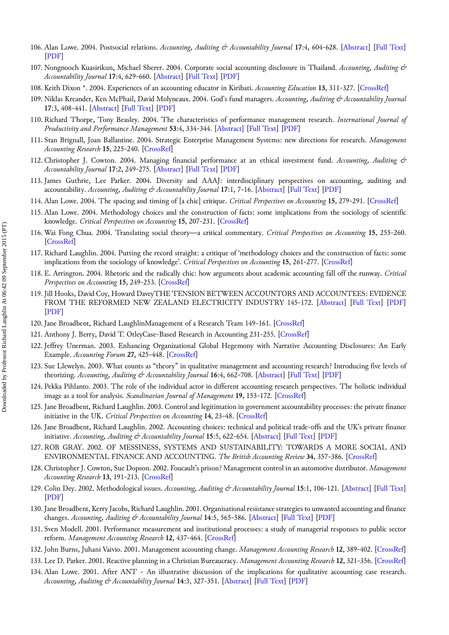- 106. Alan Lowe. 2004. Postsocial relations. *Accounting, Auditing & Accountability Journal* **17**:4, 604-628. [[Abstract\]](http://dx.doi.org/10.1108/09513570410554579) [\[Full Text\]](http://www.emeraldinsight.com/doi/full/10.1108/09513570410554579) [\[PDF](http://www.emeraldinsight.com/doi/pdfplus/10.1108/09513570410554579)]
- 107. Nongnooch Kuasirikun, Michael Sherer. 2004. Corporate social accounting disclosure in Thailand. *Accounting, Auditing & Accountability Journal* **17**:4, 629-660. [[Abstract\]](http://dx.doi.org/10.1108/09513570410554588) [[Full Text\]](http://www.emeraldinsight.com/doi/full/10.1108/09513570410554588) [\[PDF](http://www.emeraldinsight.com/doi/pdfplus/10.1108/09513570410554588)]
- 108. Keith Dixon \*. 2004. Experiences of an accounting educator in Kiribati. *Accounting Education* **13**, 311-327. [[CrossRef\]](http://dx.doi.org/10.1080/0963928042000273799)
- 109. Niklas Kreander, Ken McPhail, David Molyneaux. 2004. God's fund managers. *Accounting, Auditing & Accountability Journal* **17**:3, 408-441. [[Abstract\]](http://dx.doi.org/10.1108/09513570410545803) [\[Full Text](http://www.emeraldinsight.com/doi/full/10.1108/09513570410545803)] [\[PDF](http://www.emeraldinsight.com/doi/pdfplus/10.1108/09513570410545803)]
- 110. Richard Thorpe, Tony Beasley. 2004. The characteristics of performance management research. *International Journal of Productivity and Performance Management* **53**:4, 334-344. [\[Abstract](http://dx.doi.org/10.1108/17410400410533917)] [\[Full Text](http://www.emeraldinsight.com/doi/full/10.1108/17410400410533917)] [\[PDF\]](http://www.emeraldinsight.com/doi/pdfplus/10.1108/17410400410533917)
- 111. Stan Brignall, Joan Ballantine. 2004. Strategic Enterprise Management Systems: new directions for research. *Management Accounting Research* **15**, 225-240. [\[CrossRef](http://dx.doi.org/10.1016/j.mar.2003.10.003)]
- 112. Christopher J. Cowton. 2004. Managing financial performance at an ethical investment fund. *Accounting, Auditing & Accountability Journal* **17**:2, 249-275. [[Abstract\]](http://dx.doi.org/10.1108/09513570410532447) [[Full Text\]](http://www.emeraldinsight.com/doi/full/10.1108/09513570410532447) [\[PDF](http://www.emeraldinsight.com/doi/pdfplus/10.1108/09513570410532447)]
- 113. James Guthrie, Lee Parker. 2004. Diversity and AAAJ: interdisciplinary perspectives on accounting, auditing and accountability. *Accounting, Auditing & Accountability Journal* **17**:1, 7-16. [\[Abstract](http://dx.doi.org/10.1108/09513570410525184)] [\[Full Text](http://www.emeraldinsight.com/doi/full/10.1108/09513570410525184)] [\[PDF\]](http://www.emeraldinsight.com/doi/pdfplus/10.1108/09513570410525184)
- 114. Alan Lowe. 2004. The spacing and timing of [a chic] critique. *Critical Perspectives on Accounting* **15**, 279-291. [[CrossRef\]](http://dx.doi.org/10.1016/S1045-2354(03)00071-6)
- 115. Alan Lowe. 2004. Methodology choices and the construction of facts: some implications from the sociology of scientific knowledge. *Critical Perspectives on Accounting* **15**, 207-231. [\[CrossRef](http://dx.doi.org/10.1016/S1045-2354(03)00067-4)]
- 116. Wai Fong Chua. 2004. Translating social theory—a critical commentary. *Critical Perspectives on Accounting* **15**, 255-260. [\[CrossRef](http://dx.doi.org/10.1016/S1045-2354(03)00069-8)]
- 117. Richard Laughlin. 2004. Putting the record straight: a critique of 'methodology choices and the construction of facts: some implications from the sociology of knowledge'. *Critical Perspectives on Accounting* **15**, 261-277. [\[CrossRef](http://dx.doi.org/10.1016/S1045-2354(03)00070-4)]
- 118. E. Arrington. 2004. Rhetoric and the radically chic: how arguments about academic accounting fall off the runway. *Critical Perspectives on Accounting* **15**, 249-253. [\[CrossRef](http://dx.doi.org/10.1016/S1045-2354(03)00068-6)]
- 119. Jill Hooks, David Coy, Howard DaveyTHE TENSION BETWEEN ACCOUNTORS AND ACCOUNTEES: EVIDENCE FROM THE REFORMED NEW ZEALAND ELECTRICITY INDUSTRY 145-172. [[Abstract\]](http://dx.doi.org/10.1016/S1041-7060(04)10008-4) [\[Full Text\]](http://www.emeraldinsight.com/doi/full/10.1016/S1041-7060%2804%2910008-4) [[PDF\]](http://www.emeraldinsight.com/doi/pdf/10.1016/S1041-7060%2804%2910008-4) [\[PDF](http://www.emeraldinsight.com/doi/pdfplus/10.1016/S1041-7060%2804%2910008-4)]
- 120. Jane Broadbent, Richard LaughlinManagement of a Research Team 149-161. [\[CrossRef](http://dx.doi.org/10.1016/B978-008043972-3/50011-6)]
- 121. Anthony J. Berry, David T. OtleyCase-Based Research in Accounting 231-255. [[CrossRef\]](http://dx.doi.org/10.1016/B978-008043972-3/50016-5)
- 122. Jeffrey Unerman. 2003. Enhancing Organizational Global Hegemony with Narrative Accounting Disclosures: An Early Example. *Accounting Forum* **27**, 425-448. [[CrossRef\]](http://dx.doi.org/10.1046/j.1467-6303.2003.t01-1-00113.x)
- 123. Sue Llewelyn. 2003. What counts as "theory" in qualitative management and accounting research? Introducing five levels of theorizing. *Accounting, Auditing & Accountability Journal* **16**:4, 662-708. [[Abstract\]](http://dx.doi.org/10.1108/09513570310492344) [\[Full Text](http://www.emeraldinsight.com/doi/full/10.1108/09513570310492344)] [\[PDF](http://www.emeraldinsight.com/doi/pdfplus/10.1108/09513570310492344)]
- 124. Pekka Pihlanto. 2003. The role of the individual actor in different accounting research perspectives. The holistic individual image as a tool for analysis. *Scandinavian Journal of Management* **19**, 153-172. [\[CrossRef](http://dx.doi.org/10.1016/S0956-5221(02)00008-8)]
- 125. Jane Broadbent, Richard Laughlin. 2003. Control and legitimation in government accountability processes: the private finance initiative in the UK. *Critical Perspectives on Accounting* **14**, 23-48. [\[CrossRef](http://dx.doi.org/10.1006/cpac.2001.0525)]
- 126. Jane Broadbent, Richard Laughlin. 2002. Accounting choices: technical and political trade‐offs and the UK's private finance initiative. *Accounting, Auditing & Accountability Journal* **15**:5, 622-654. [\[Abstract](http://dx.doi.org/10.1108/09513570210448948)] [[Full Text\]](http://www.emeraldinsight.com/doi/full/10.1108/09513570210448948) [[PDF\]](http://www.emeraldinsight.com/doi/pdfplus/10.1108/09513570210448948)
- 127. ROB GRAY. 2002. OF MESSINESS, SYSTEMS AND SUSTAINABILITY: TOWARDS A MORE SOCIAL AND ENVIRONMENTAL FINANCE AND ACCOUNTING. *The British Accounting Review* **34**, 357-386. [\[CrossRef](http://dx.doi.org/10.1006/bare.2002.0217)]
- 128. Christopher J. Cowton, Sue Dopson. 2002. Foucault's prison? Management control in an automotive distributor. *Management Accounting Research* **13**, 191-213. [\[CrossRef](http://dx.doi.org/10.1006/mare.2001.0173)]
- 129. Colin Dey. 2002. Methodological issues. *Accounting, Auditing & Accountability Journal* **15**:1, 106-121. [\[Abstract](http://dx.doi.org/10.1108/09513570210418923)] [[Full Text\]](http://www.emeraldinsight.com/doi/full/10.1108/09513570210418923) [\[PDF](http://www.emeraldinsight.com/doi/pdfplus/10.1108/09513570210418923)]
- 130. Jane Broadbent, Kerry Jacobs, Richard Laughlin. 2001. Organisational resistance strategies to unwanted accounting and finance changes. *Accounting, Auditing & Accountability Journal* **14**:5, 565-586. [\[Abstract](http://dx.doi.org/10.1108/EUM0000000006263)] [[Full Text\]](http://www.emeraldinsight.com/doi/full/10.1108/EUM0000000006263) [[PDF\]](http://www.emeraldinsight.com/doi/pdfplus/10.1108/EUM0000000006263)
- 131. Sven Modell. 2001. Performance measurement and institutional processes: a study of managerial responses to public sector reform. *Management Accounting Research* **12**, 437-464. [[CrossRef\]](http://dx.doi.org/10.1006/mare.2001.0164)
- 132. John Burns, Juhani Vaivio. 2001. Management accounting change. *Management Accounting Research* **12**, 389-402. [[CrossRef\]](http://dx.doi.org/10.1006/mare.2001.0178)
- 133. Lee D. Parker. 2001. Reactive planning in a Christian Bureaucracy. *Management Accounting Research* **12**, 321-356. [[CrossRef\]](http://dx.doi.org/10.1006/mare.2001.0165)
- 134. Alan Lowe. 2001. After ANT An illustrative discussion of the implications for qualitative accounting case research. *Accounting, Auditing & Accountability Journal* **14**:3, 327-351. [\[Abstract](http://dx.doi.org/10.1108/EUM0000000005519)] [\[Full Text](http://www.emeraldinsight.com/doi/full/10.1108/EUM0000000005519)] [[PDF\]](http://www.emeraldinsight.com/doi/pdfplus/10.1108/EUM0000000005519)